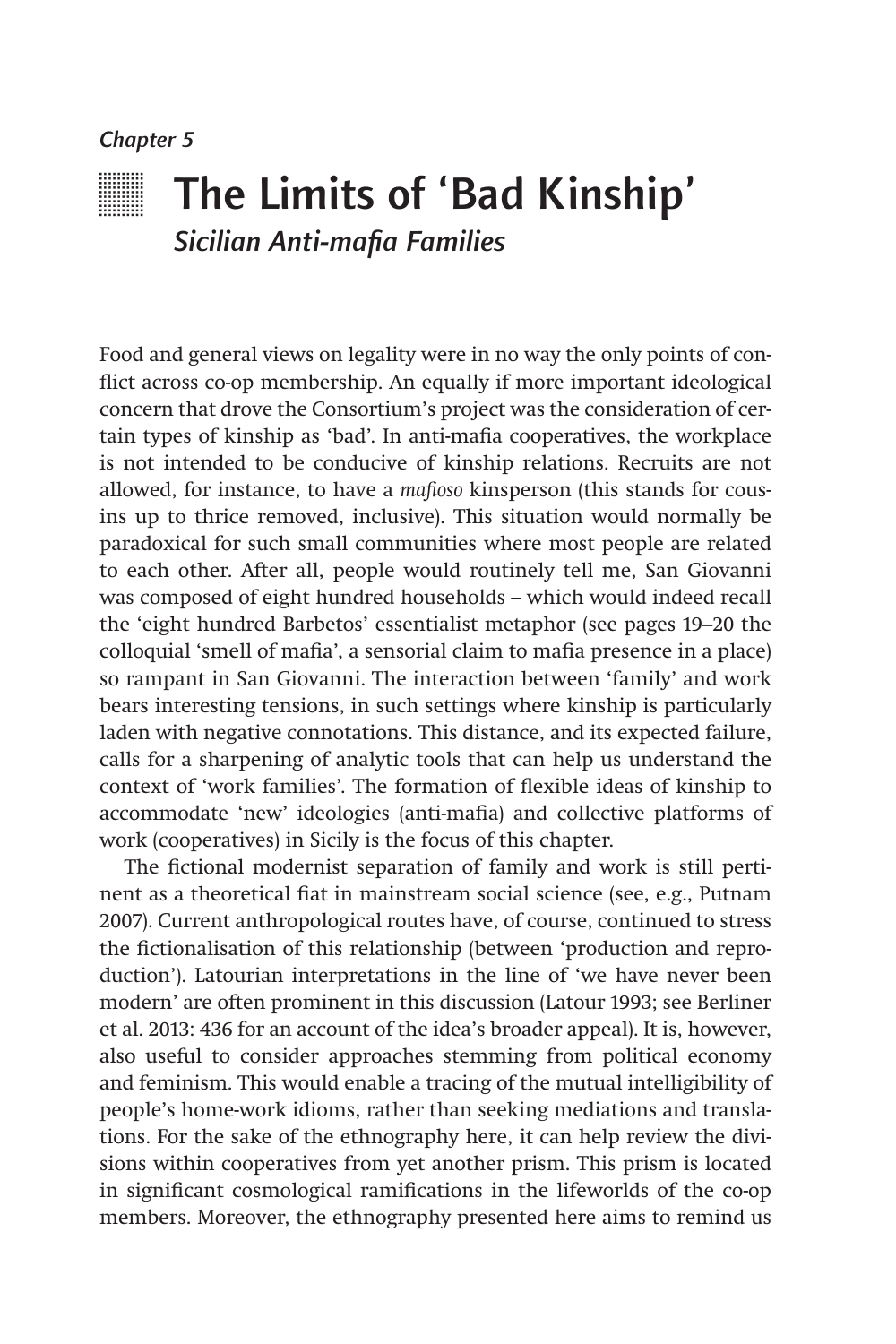### *Chapter 5*

# The Limits of 'Bad Kinship' *Sicilian Anti-mafia Families*

Food and general views on legality were in no way the only points of conflict across co-op membership. An equally if more important ideological concern that drove the Consortium's project was the consideration of certain types of kinship as 'bad'. In anti-mafia cooperatives, the workplace is not intended to be conducive of kinship relations. Recruits are not allowed, for instance, to have a *mafioso* kinsperson (this stands for cousins up to thrice removed, inclusive). This situation would normally be paradoxical for such small communities where most people are related to each other. After all, people would routinely tell me, San Giovanni was composed of eight hundred households – which would indeed recall the 'eight hundred Barbetos' essentialist metaphor (see pages 19–20 the colloquial 'smell of mafia', a sensorial claim to mafia presence in a place) so rampant in San Giovanni. The interaction between 'family' and work bears interesting tensions, in such settings where kinship is particularly laden with negative connotations. This distance, and its expected failure, calls for a sharpening of analytic tools that can help us understand the context of 'work families'. The formation of flexible ideas of kinship to accommodate 'new' ideologies (anti-mafia) and collective platforms of work (cooperatives) in Sicily is the focus of this chapter.

The fictional modernist separation of family and work is still pertinent as a theoretical fiat in mainstream social science (see, e.g., Putnam 2007). Current anthropological routes have, of course, continued to stress the fictionalisation of this relationship (between 'production and reproduction'). Latourian interpretations in the line of 'we have never been modern' are often prominent in this discussion (Latour 1993; see Berliner et al. 2013: 436 for an account of the idea's broader appeal). It is, however, also useful to consider approaches stemming from political economy and feminism. This would enable a tracing of the mutual intelligibility of people's home-work idioms, rather than seeking mediations and translations. For the sake of the ethnography here, it can help review the divisions within cooperatives from yet another prism. This prism is located in significant cosmological ramifications in the lifeworlds of the co-op members. Moreover, the ethnography presented here aims to remind us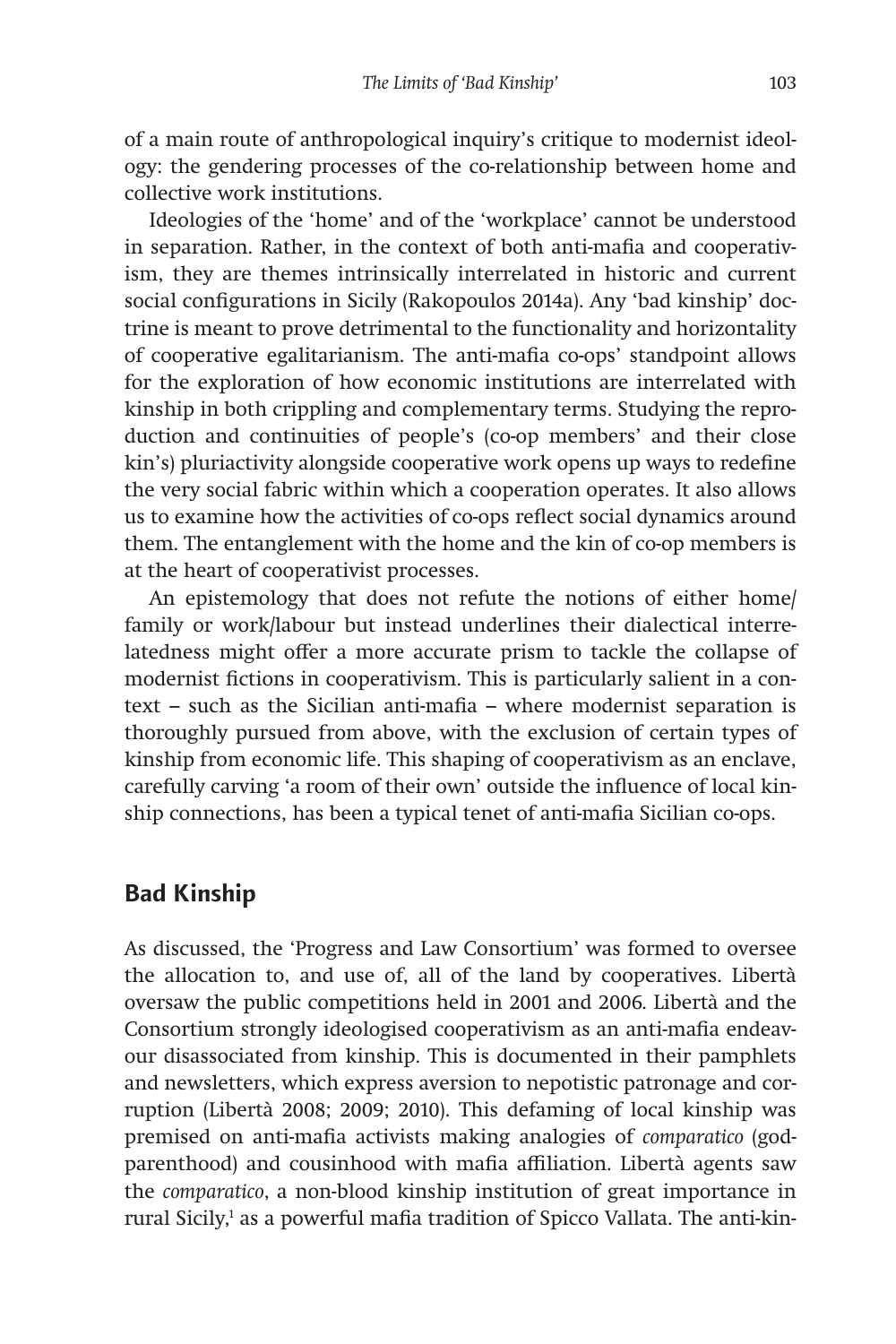of a main route of anthropological inquiry's critique to modernist ideology: the gendering processes of the co-relationship between home and collective work institutions.

Ideologies of the 'home' and of the 'workplace' cannot be understood in separation. Rather, in the context of both anti-mafia and cooperativism, they are themes intrinsically interrelated in historic and current social configurations in Sicily (Rakopoulos 2014a). Any 'bad kinship' doctrine is meant to prove detrimental to the functionality and horizontality of cooperative egalitarianism. The anti-mafia co-ops' standpoint allows for the exploration of how economic institutions are interrelated with kinship in both crippling and complementary terms. Studying the reproduction and continuities of people's (co-op members' and their close kin's) pluriactivity alongside cooperative work opens up ways to redefine the very social fabric within which a cooperation operates. It also allows us to examine how the activities of co-ops reflect social dynamics around them. The entanglement with the home and the kin of co-op members is at the heart of cooperativist processes.

An epistemology that does not refute the notions of either home/ family or work/labour but instead underlines their dialectical interrelatedness might offer a more accurate prism to tackle the collapse of modernist fictions in cooperativism. This is particularly salient in a context – such as the Sicilian anti-mafia – where modernist separation is thoroughly pursued from above, with the exclusion of certain types of kinship from economic life. This shaping of cooperativism as an enclave, carefully carving 'a room of their own' outside the influence of local kinship connections, has been a typical tenet of anti-mafia Sicilian co-ops.

# **Bad Kinship**

As discussed, the 'Progress and Law Consortium' was formed to oversee the allocation to, and use of, all of the land by cooperatives. Libertà oversaw the public competitions held in 2001 and 2006. Libertà and the Consortium strongly ideologised cooperativism as an anti-mafia endeavour disassociated from kinship. This is documented in their pamphlets and newsletters, which express aversion to nepotistic patronage and corruption (Libertà 2008; 2009; 2010). This defaming of local kinship was premised on anti-mafia activists making analogies of *comparatico* (godparenthood) and cousinhood with mafia affiliation. Libertà agents saw the *comparatico*, a non-blood kinship institution of great importance in rural Sicily,<sup>1</sup> as a powerful mafia tradition of Spicco Vallata. The anti-kin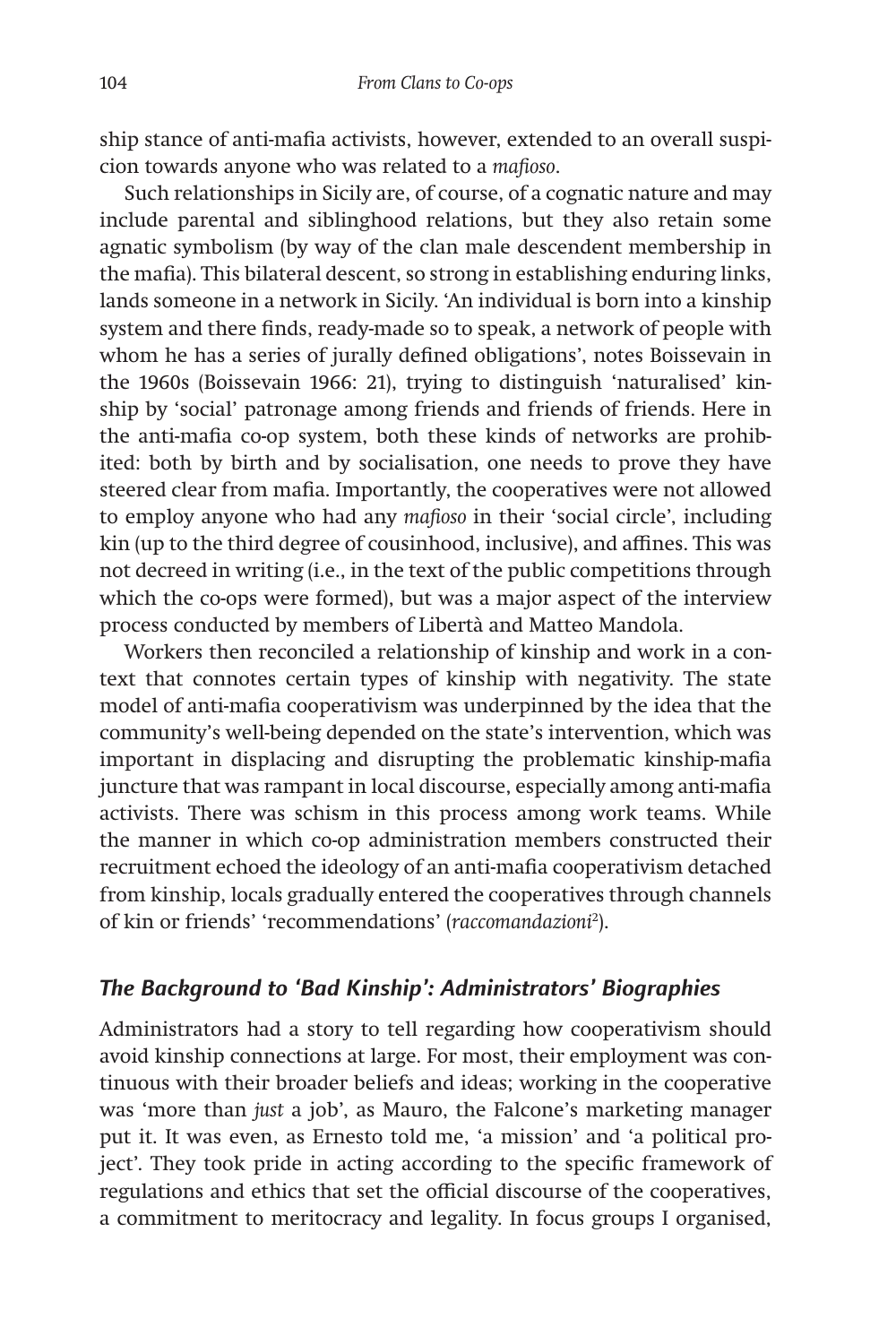ship stance of anti-mafia activists, however, extended to an overall suspicion towards anyone who was related to a *mafioso*.

Such relationships in Sicily are, of course, of a cognatic nature and may include parental and siblinghood relations, but they also retain some agnatic symbolism (by way of the clan male descendent membership in the mafia). This bilateral descent, so strong in establishing enduring links, lands someone in a network in Sicily. 'An individual is born into a kinship system and there finds, ready-made so to speak, a network of people with whom he has a series of jurally defined obligations', notes Boissevain in the 1960s (Boissevain 1966: 21), trying to distinguish 'naturalised' kinship by 'social' patronage among friends and friends of friends. Here in the anti-mafia co-op system, both these kinds of networks are prohibited: both by birth and by socialisation, one needs to prove they have steered clear from mafia. Importantly, the cooperatives were not allowed to employ anyone who had any *mafioso* in their 'social circle', including kin (up to the third degree of cousinhood, inclusive), and affines. This was not decreed in writing (i.e., in the text of the public competitions through which the co-ops were formed), but was a major aspect of the interview process conducted by members of Libertà and Matteo Mandola.

Workers then reconciled a relationship of kinship and work in a context that connotes certain types of kinship with negativity. The state model of anti-mafia cooperativism was underpinned by the idea that the community's well-being depended on the state's intervention, which was important in displacing and disrupting the problematic kinship-mafia juncture that was rampant in local discourse, especially among anti-mafia activists. There was schism in this process among work teams. While the manner in which co-op administration members constructed their recruitment echoed the ideology of an anti-mafia cooperativism detached from kinship, locals gradually entered the cooperatives through channels of kin or friends' 'recommendations' (*raccomandazioni*<sup>2</sup> ).

### *The Background to 'Bad Kinship': Administrators' Biographies*

Administrators had a story to tell regarding how cooperativism should avoid kinship connections at large. For most, their employment was continuous with their broader beliefs and ideas; working in the cooperative was 'more than *just* a job', as Mauro, the Falcone's marketing manager put it. It was even, as Ernesto told me, 'a mission' and 'a political project'. They took pride in acting according to the specific framework of regulations and ethics that set the official discourse of the cooperatives, a commitment to meritocracy and legality. In focus groups I organised,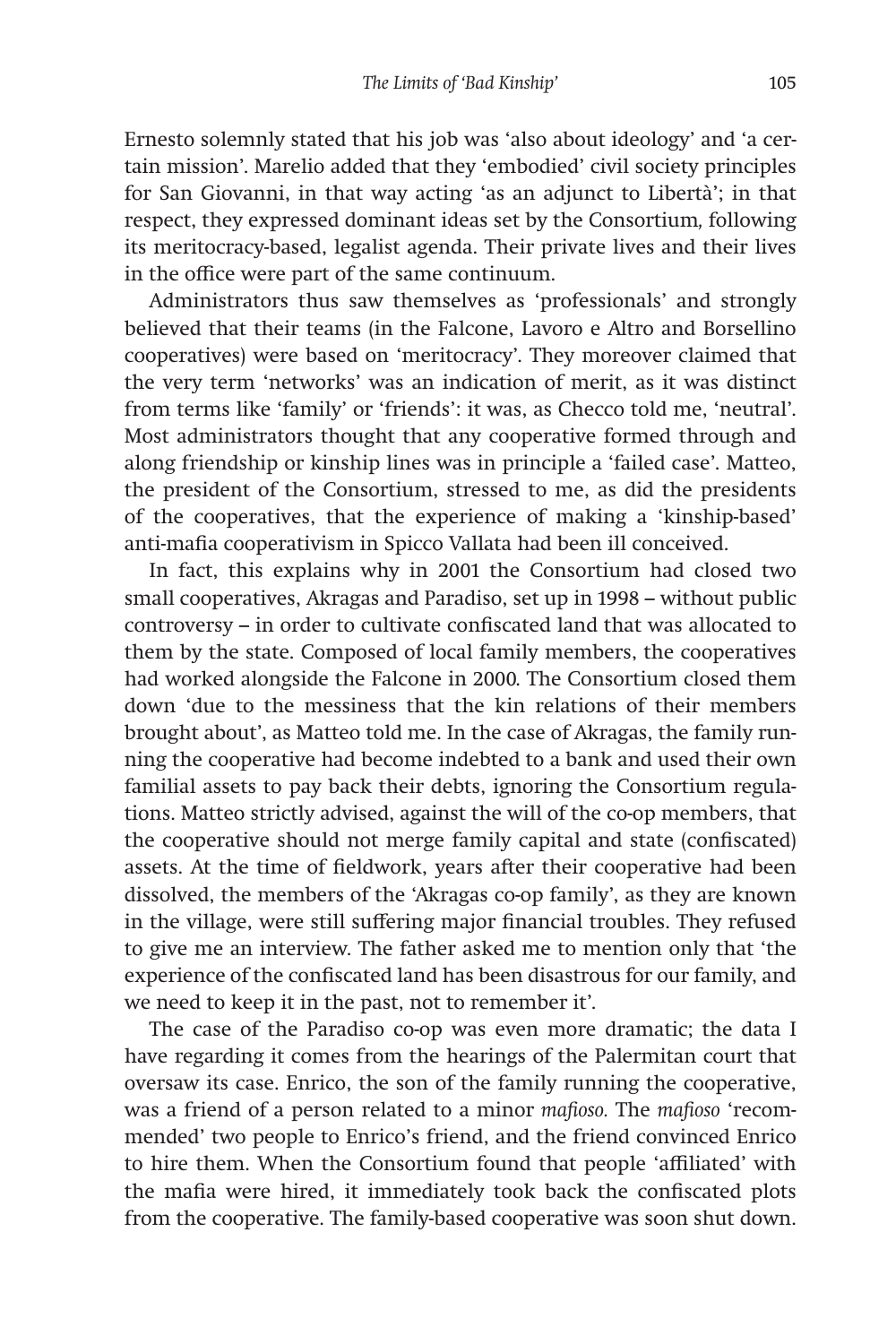Ernesto solemnly stated that his job was 'also about ideology' and 'a certain mission'. Marelio added that they 'embodied' civil society principles for San Giovanni, in that way acting 'as an adjunct to Libertà'; in that respect, they expressed dominant ideas set by the Consortium*,* following its meritocracy-based, legalist agenda. Their private lives and their lives in the office were part of the same continuum.

Administrators thus saw themselves as 'professionals' and strongly believed that their teams (in the Falcone, Lavoro e Altro and Borsellino cooperatives) were based on 'meritocracy'. They moreover claimed that the very term 'networks' was an indication of merit, as it was distinct from terms like 'family' or 'friends': it was, as Checco told me, 'neutral'. Most administrators thought that any cooperative formed through and along friendship or kinship lines was in principle a 'failed case'. Matteo, the president of the Consortium, stressed to me, as did the presidents of the cooperatives, that the experience of making a 'kinship-based' anti-mafia cooperativism in Spicco Vallata had been ill conceived.

In fact, this explains why in 2001 the Consortium had closed two small cooperatives, Akragas and Paradiso, set up in 1998 – without public controversy – in order to cultivate confiscated land that was allocated to them by the state. Composed of local family members, the cooperatives had worked alongside the Falcone in 2000. The Consortium closed them down 'due to the messiness that the kin relations of their members brought about', as Matteo told me. In the case of Akragas, the family running the cooperative had become indebted to a bank and used their own familial assets to pay back their debts, ignoring the Consortium regulations. Matteo strictly advised, against the will of the co-op members, that the cooperative should not merge family capital and state (confiscated) assets. At the time of fieldwork, years after their cooperative had been dissolved, the members of the 'Akragas co-op family', as they are known in the village, were still suffering major financial troubles. They refused to give me an interview. The father asked me to mention only that 'the experience of the confiscated land has been disastrous for our family, and we need to keep it in the past, not to remember it'.

The case of the Paradiso co-op was even more dramatic; the data I have regarding it comes from the hearings of the Palermitan court that oversaw its case. Enrico, the son of the family running the cooperative, was a friend of a person related to a minor *mafioso.* The *mafioso* 'recommended' two people to Enrico's friend, and the friend convinced Enrico to hire them. When the Consortium found that people 'affiliated' with the mafia were hired, it immediately took back the confiscated plots from the cooperative. The family-based cooperative was soon shut down.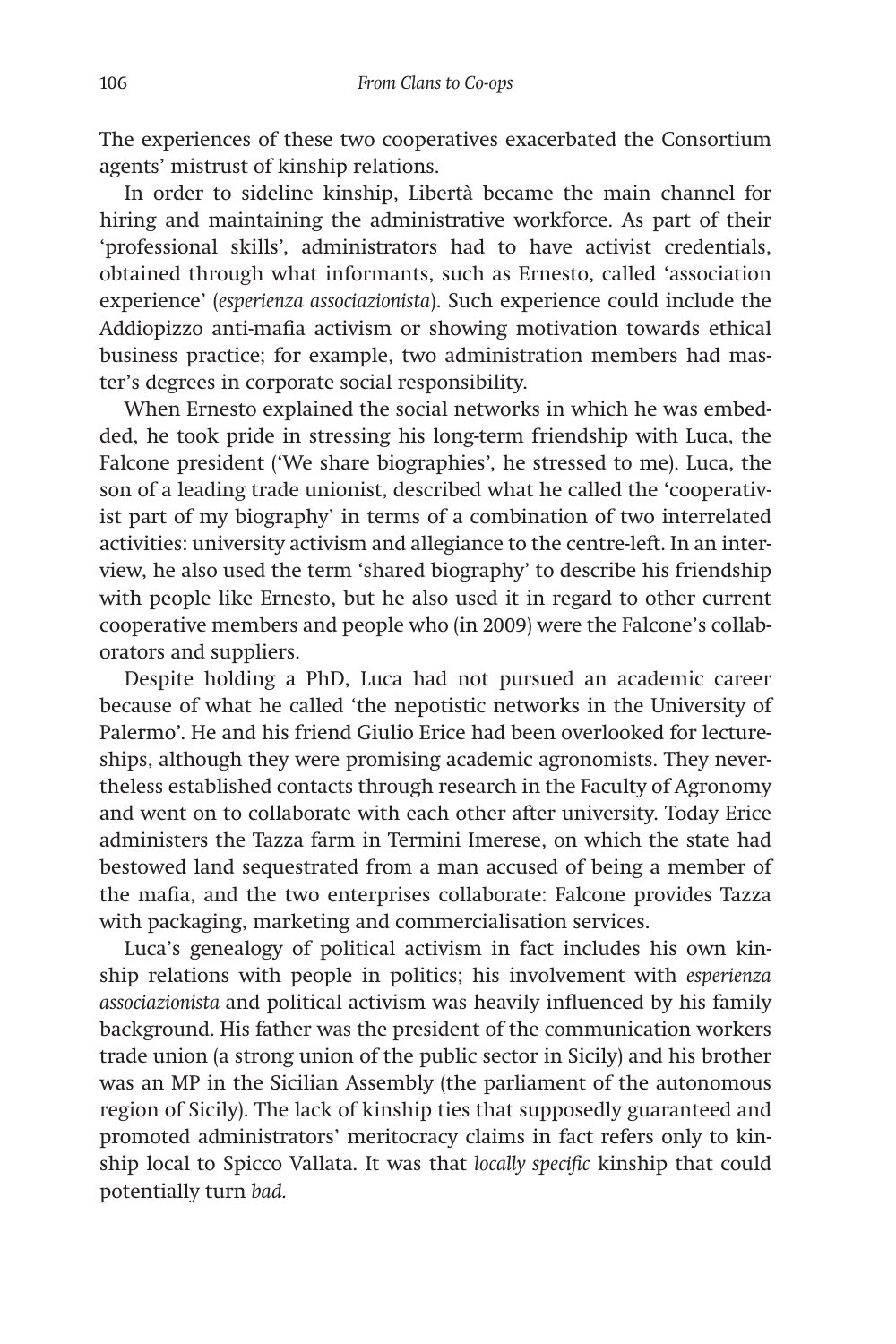The experiences of these two cooperatives exacerbated the Consortium agents' mistrust of kinship relations.

In order to sideline kinship, Libertà became the main channel for hiring and maintaining the administrative workforce. As part of their 'professional skills', administrators had to have activist credentials, obtained through what informants, such as Ernesto, called 'association experience' (*esperienza associazionista*). Such experience could include the Addiopizzo anti-mafia activism or showing motivation towards ethical business practice; for example, two administration members had master's degrees in corporate social responsibility.

When Ernesto explained the social networks in which he was embedded, he took pride in stressing his long-term friendship with Luca, the Falcone president ('We share biographies', he stressed to me). Luca, the son of a leading trade unionist, described what he called the 'cooperativist part of my biography' in terms of a combination of two interrelated activities: university activism and allegiance to the centre-left. In an interview, he also used the term 'shared biography' to describe his friendship with people like Ernesto, but he also used it in regard to other current cooperative members and people who (in 2009) were the Falcone's collaborators and suppliers.

Despite holding a PhD, Luca had not pursued an academic career because of what he called 'the nepotistic networks in the University of Palermo'. He and his friend Giulio Erice had been overlooked for lectureships, although they were promising academic agronomists. They nevertheless established contacts through research in the Faculty of Agronomy and went on to collaborate with each other after university. Today Erice administers the Tazza farm in Termini Imerese, on which the state had bestowed land sequestrated from a man accused of being a member of the mafia, and the two enterprises collaborate: Falcone provides Tazza with packaging, marketing and commercialisation services.

Luca's genealogy of political activism in fact includes his own kinship relations with people in politics; his involvement with *esperienza associazionista* and political activism was heavily influenced by his family background. His father was the president of the communication workers trade union (a strong union of the public sector in Sicily) and his brother was an MP in the Sicilian Assembly (the parliament of the autonomous region of Sicily). The lack of kinship ties that supposedly guaranteed and promoted administrators' meritocracy claims in fact refers only to kinship local to Spicco Vallata. It was that *locally specific* kinship that could potentially turn *bad.*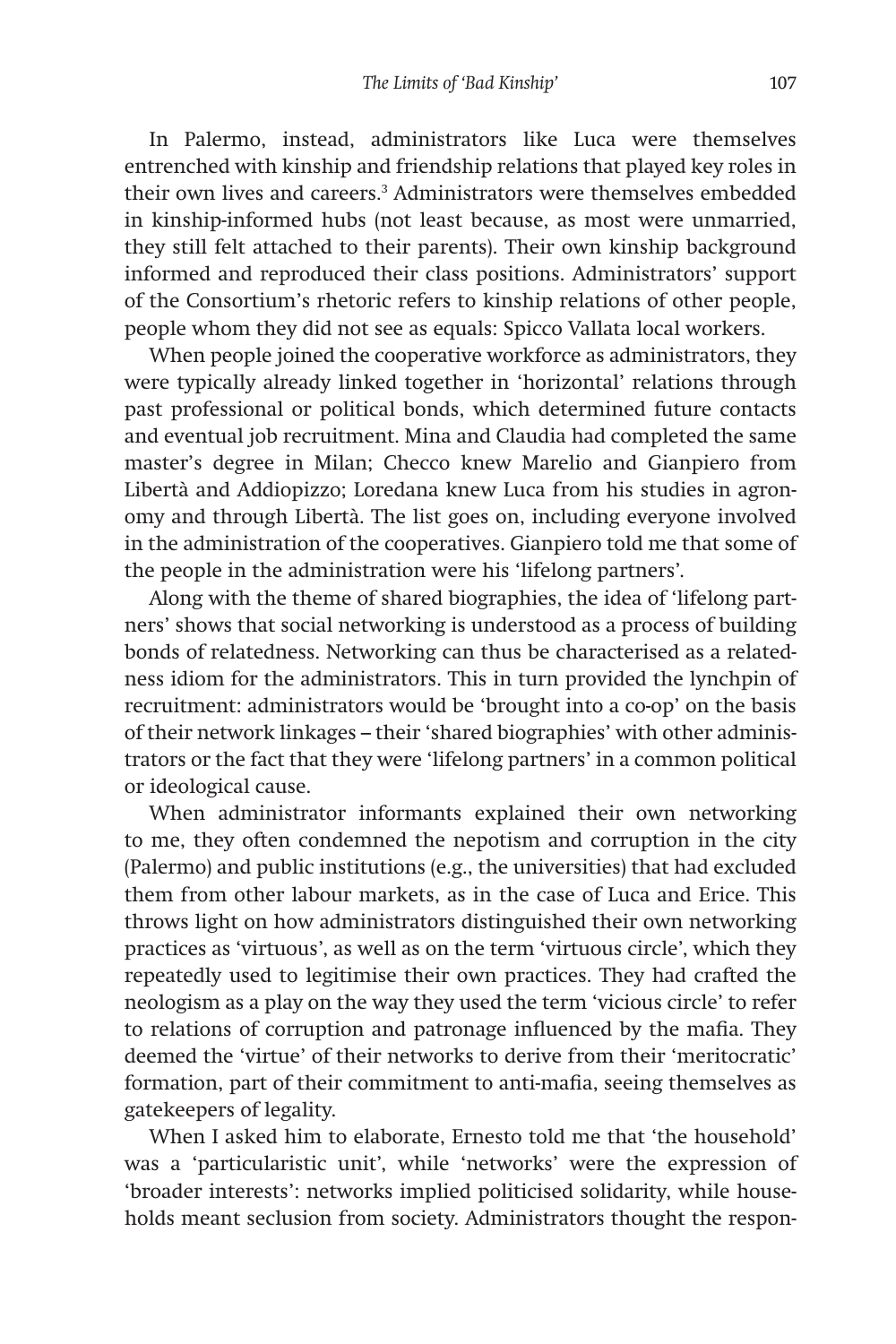In Palermo, instead, administrators like Luca were themselves entrenched with kinship and friendship relations that played key roles in their own lives and careers.<sup>3</sup> Administrators were themselves embedded in kinship-informed hubs (not least because, as most were unmarried, they still felt attached to their parents). Their own kinship background informed and reproduced their class positions. Administrators' support of the Consortium's rhetoric refers to kinship relations of other people, people whom they did not see as equals: Spicco Vallata local workers.

When people joined the cooperative workforce as administrators, they were typically already linked together in 'horizontal' relations through past professional or political bonds, which determined future contacts and eventual job recruitment. Mina and Claudia had completed the same master's degree in Milan; Checco knew Marelio and Gianpiero from Libertà and Addiopizzo; Loredana knew Luca from his studies in agronomy and through Libertà. The list goes on, including everyone involved in the administration of the cooperatives. Gianpiero told me that some of the people in the administration were his 'lifelong partners'.

Along with the theme of shared biographies, the idea of 'lifelong partners' shows that social networking is understood as a process of building bonds of relatedness. Networking can thus be characterised as a relatedness idiom for the administrators. This in turn provided the lynchpin of recruitment: administrators would be 'brought into a co-op' on the basis of their network linkages – their 'shared biographies' with other administrators or the fact that they were 'lifelong partners' in a common political or ideological cause.

When administrator informants explained their own networking to me, they often condemned the nepotism and corruption in the city (Palermo) and public institutions (e.g., the universities) that had excluded them from other labour markets, as in the case of Luca and Erice. This throws light on how administrators distinguished their own networking practices as 'virtuous', as well as on the term 'virtuous circle', which they repeatedly used to legitimise their own practices. They had crafted the neologism as a play on the way they used the term 'vicious circle' to refer to relations of corruption and patronage influenced by the mafia. They deemed the 'virtue' of their networks to derive from their 'meritocratic' formation, part of their commitment to anti-mafia, seeing themselves as gatekeepers of legality.

When I asked him to elaborate, Ernesto told me that 'the household' was a 'particularistic unit', while 'networks' were the expression of 'broader interests': networks implied politicised solidarity, while households meant seclusion from society. Administrators thought the respon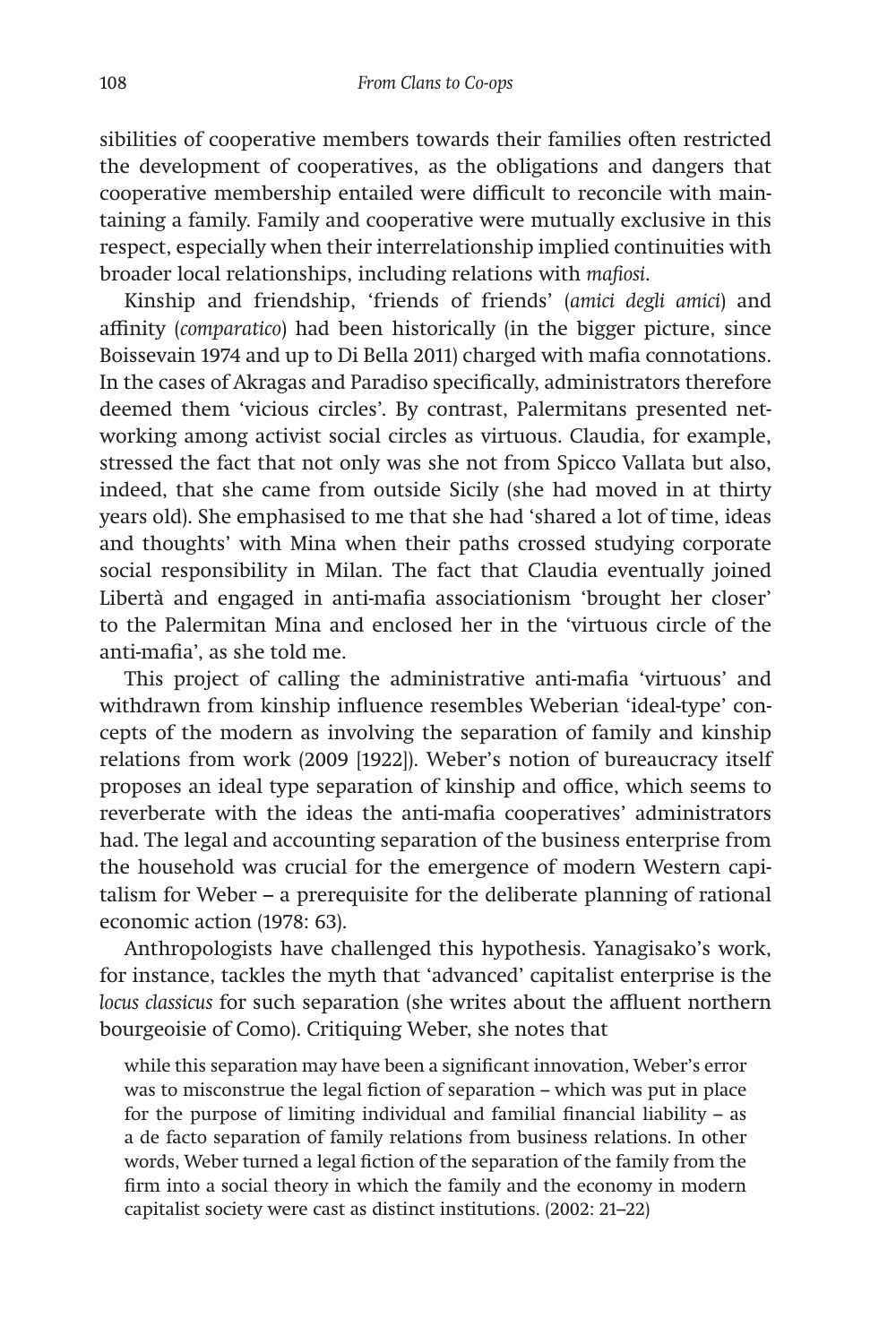sibilities of cooperative members towards their families often restricted the development of cooperatives, as the obligations and dangers that cooperative membership entailed were difficult to reconcile with maintaining a family. Family and cooperative were mutually exclusive in this respect, especially when their interrelationship implied continuities with broader local relationships, including relations with *mafiosi*.

Kinship and friendship, 'friends of friends' (*amici degli amici*) and affinity (*comparatico*) had been historically (in the bigger picture, since Boissevain 1974 and up to Di Bella 2011) charged with mafia connotations. In the cases of Akragas and Paradiso specifically, administrators therefore deemed them 'vicious circles'. By contrast, Palermitans presented networking among activist social circles as virtuous. Claudia, for example, stressed the fact that not only was she not from Spicco Vallata but also, indeed, that she came from outside Sicily (she had moved in at thirty years old). She emphasised to me that she had 'shared a lot of time, ideas and thoughts' with Mina when their paths crossed studying corporate social responsibility in Milan. The fact that Claudia eventually joined Libertà and engaged in anti-mafia associationism 'brought her closer' to the Palermitan Mina and enclosed her in the 'virtuous circle of the anti-mafia', as she told me.

This project of calling the administrative anti-mafia 'virtuous' and withdrawn from kinship influence resembles Weberian 'ideal-type' concepts of the modern as involving the separation of family and kinship relations from work (2009 [1922]). Weber's notion of bureaucracy itself proposes an ideal type separation of kinship and office, which seems to reverberate with the ideas the anti-mafia cooperatives' administrators had. The legal and accounting separation of the business enterprise from the household was crucial for the emergence of modern Western capitalism for Weber – a prerequisite for the deliberate planning of rational economic action (1978: 63).

Anthropologists have challenged this hypothesis. Yanagisako's work, for instance, tackles the myth that 'advanced' capitalist enterprise is the *locus classicus* for such separation (she writes about the affluent northern bourgeoisie of Como). Critiquing Weber, she notes that

while this separation may have been a significant innovation, Weber's error was to misconstrue the legal fiction of separation – which was put in place for the purpose of limiting individual and familial financial liability – as a de facto separation of family relations from business relations. In other words, Weber turned a legal fiction of the separation of the family from the firm into a social theory in which the family and the economy in modern capitalist society were cast as distinct institutions. (2002: 21–22)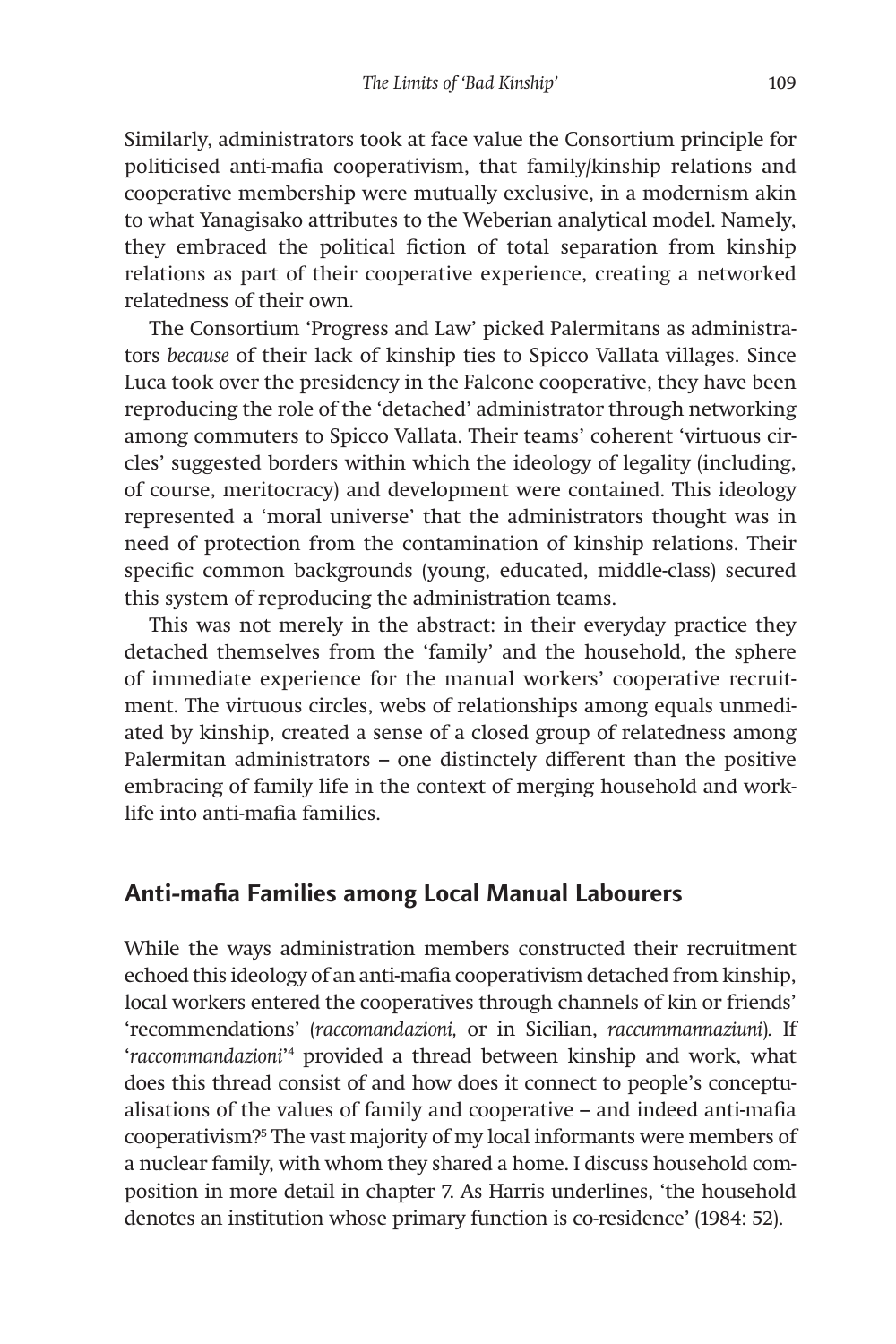Similarly, administrators took at face value the Consortium principle for politicised anti-mafia cooperativism, that family/kinship relations and cooperative membership were mutually exclusive, in a modernism akin to what Yanagisako attributes to the Weberian analytical model. Namely, they embraced the political fiction of total separation from kinship relations as part of their cooperative experience, creating a networked relatedness of their own.

The Consortium 'Progress and Law' picked Palermitans as administrators *because* of their lack of kinship ties to Spicco Vallata villages. Since Luca took over the presidency in the Falcone cooperative, they have been reproducing the role of the 'detached' administrator through networking among commuters to Spicco Vallata. Their teams' coherent 'virtuous circles' suggested borders within which the ideology of legality (including, of course, meritocracy) and development were contained. This ideology represented a 'moral universe' that the administrators thought was in need of protection from the contamination of kinship relations. Their specific common backgrounds (young, educated, middle-class) secured this system of reproducing the administration teams.

This was not merely in the abstract: in their everyday practice they detached themselves from the 'family' and the household, the sphere of immediate experience for the manual workers' cooperative recruitment. The virtuous circles, webs of relationships among equals unmediated by kinship, created a sense of a closed group of relatedness among Palermitan administrators – one distinctely different than the positive embracing of family life in the context of merging household and worklife into anti-mafia families.

# **Anti-mafia Families among Local Manual Labourers**

While the ways administration members constructed their recruitment echoed this ideology of an anti-mafia cooperativism detached from kinship, local workers entered the cooperatives through channels of kin or friends' 'recommendations' (*raccomandazioni,* or in Sicilian, *raccummannaziuni*)*.* If '*raccommandazioni*' <sup>4</sup> provided a thread between kinship and work, what does this thread consist of and how does it connect to people's conceptualisations of the values of family and cooperative – and indeed anti-mafia cooperativism?5 The vast majority of my local informants were members of a nuclear family, with whom they shared a home. I discuss household composition in more detail in chapter 7. As Harris underlines, 'the household denotes an institution whose primary function is co-residence' (1984: 52).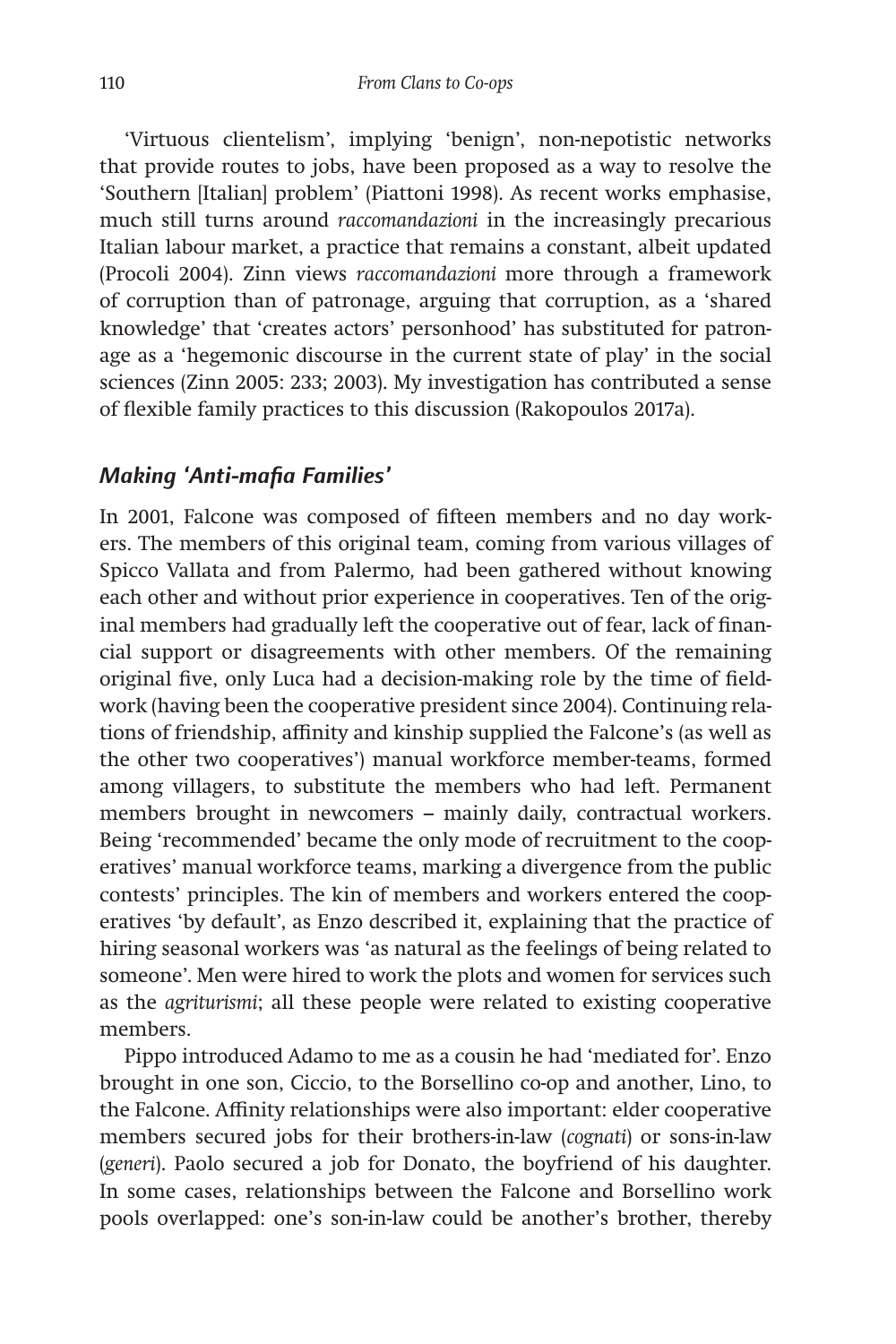'Virtuous clientelism', implying 'benign', non-nepotistic networks that provide routes to jobs, have been proposed as a way to resolve the 'Southern [Italian] problem' (Piattoni 1998). As recent works emphasise, much still turns around *raccomandazioni* in the increasingly precarious Italian labour market, a practice that remains a constant, albeit updated (Procoli 2004). Zinn views *raccomandazioni* more through a framework of corruption than of patronage, arguing that corruption, as a 'shared knowledge' that 'creates actors' personhood' has substituted for patronage as a 'hegemonic discourse in the current state of play' in the social sciences (Zinn 2005: 233; 2003). My investigation has contributed a sense of flexible family practices to this discussion (Rakopoulos 2017a).

### *Making 'Anti-mafia Families'*

In 2001, Falcone was composed of fifteen members and no day workers. The members of this original team, coming from various villages of Spicco Vallata and from Palermo*,* had been gathered without knowing each other and without prior experience in cooperatives. Ten of the original members had gradually left the cooperative out of fear, lack of financial support or disagreements with other members. Of the remaining original five, only Luca had a decision-making role by the time of fieldwork (having been the cooperative president since 2004). Continuing relations of friendship, affinity and kinship supplied the Falcone's (as well as the other two cooperatives') manual workforce member-teams, formed among villagers, to substitute the members who had left. Permanent members brought in newcomers – mainly daily, contractual workers. Being 'recommended' became the only mode of recruitment to the cooperatives' manual workforce teams, marking a divergence from the public contests' principles. The kin of members and workers entered the cooperatives 'by default', as Enzo described it, explaining that the practice of hiring seasonal workers was 'as natural as the feelings of being related to someone'. Men were hired to work the plots and women for services such as the *agriturismi*; all these people were related to existing cooperative members.

Pippo introduced Adamo to me as a cousin he had 'mediated for'. Enzo brought in one son, Ciccio, to the Borsellino co-op and another, Lino, to the Falcone. Affinity relationships were also important: elder cooperative members secured jobs for their brothers-in-law (*cognati*) or sons-in-law (*generi*). Paolo secured a job for Donato, the boyfriend of his daughter. In some cases, relationships between the Falcone and Borsellino work pools overlapped: one's son-in-law could be another's brother, thereby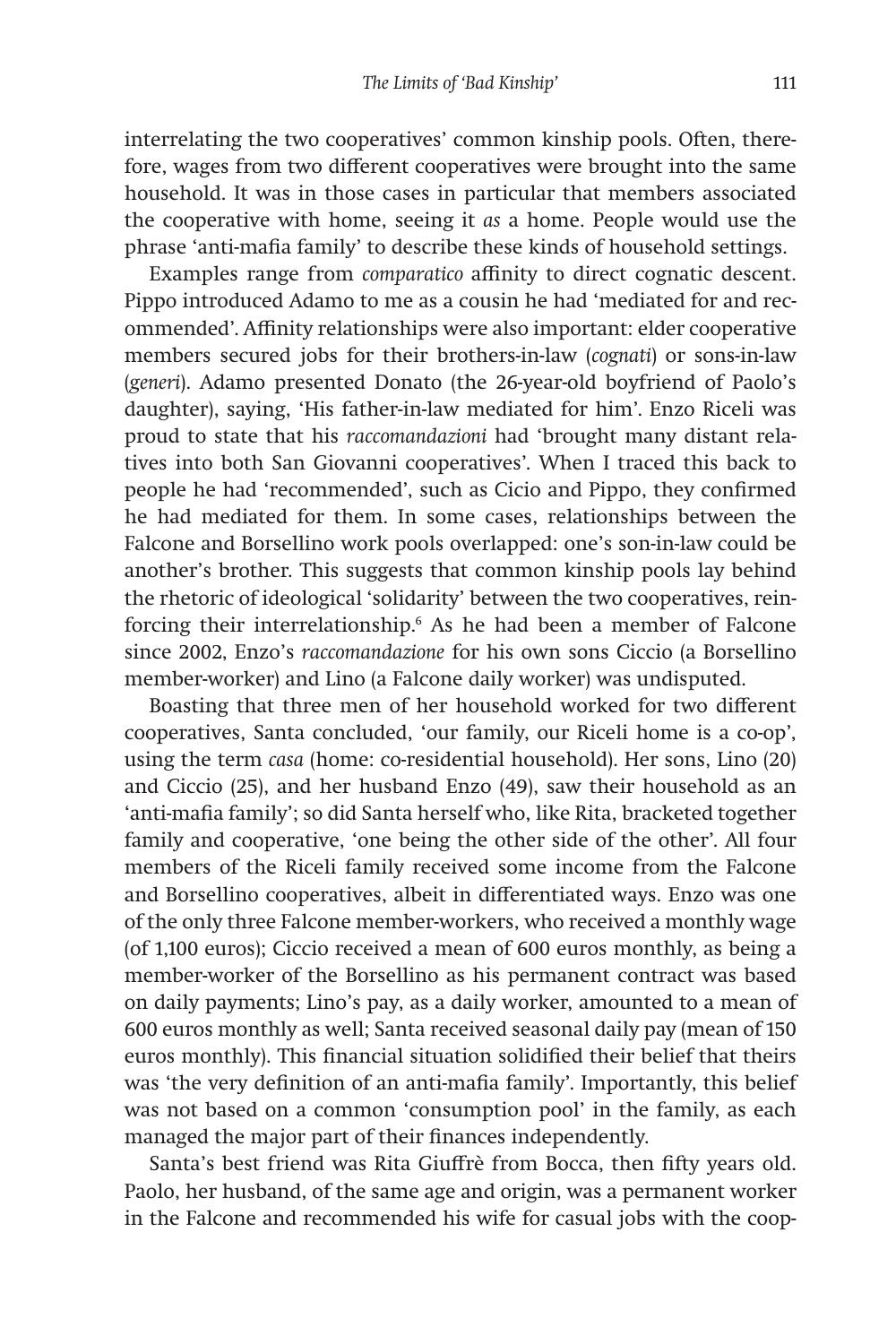interrelating the two cooperatives' common kinship pools. Often, therefore, wages from two different cooperatives were brought into the same household. It was in those cases in particular that members associated the cooperative with home, seeing it *as* a home. People would use the phrase 'anti-mafia family' to describe these kinds of household settings.

Examples range from *comparatico* affinity to direct cognatic descent. Pippo introduced Adamo to me as a cousin he had 'mediated for and recommended'. Affinity relationships were also important: elder cooperative members secured jobs for their brothers-in-law (*cognati*) or sons-in-law (*generi*). Adamo presented Donato (the 26-year-old boyfriend of Paolo's daughter), saying, 'His father-in-law mediated for him'. Enzo Riceli was proud to state that his *raccomandazioni* had 'brought many distant relatives into both San Giovanni cooperatives'. When I traced this back to people he had 'recommended', such as Cicio and Pippo, they confirmed he had mediated for them. In some cases, relationships between the Falcone and Borsellino work pools overlapped: one's son-in-law could be another's brother. This suggests that common kinship pools lay behind the rhetoric of ideological 'solidarity' between the two cooperatives, reinforcing their interrelationship.6 As he had been a member of Falcone since 2002, Enzo's *raccomandazione* for his own sons Ciccio (a Borsellino member-worker) and Lino (a Falcone daily worker) was undisputed.

Boasting that three men of her household worked for two different cooperatives, Santa concluded, 'our family, our Riceli home is a co-op', using the term *casa* (home: co-residential household). Her sons, Lino (20) and Ciccio (25), and her husband Enzo (49), saw their household as an 'anti-mafia family'; so did Santa herself who, like Rita, bracketed together family and cooperative, 'one being the other side of the other'. All four members of the Riceli family received some income from the Falcone and Borsellino cooperatives, albeit in differentiated ways. Enzo was one of the only three Falcone member-workers, who received a monthly wage (of 1,100 euros); Ciccio received a mean of 600 euros monthly, as being a member-worker of the Borsellino as his permanent contract was based on daily payments; Lino's pay, as a daily worker, amounted to a mean of 600 euros monthly as well; Santa received seasonal daily pay (mean of 150 euros monthly). This financial situation solidified their belief that theirs was 'the very definition of an anti-mafia family'. Importantly, this belief was not based on a common 'consumption pool' in the family, as each managed the major part of their finances independently.

Santa's best friend was Rita Giuffrè from Bocca, then fifty years old. Paolo, her husband, of the same age and origin, was a permanent worker in the Falcone and recommended his wife for casual jobs with the coop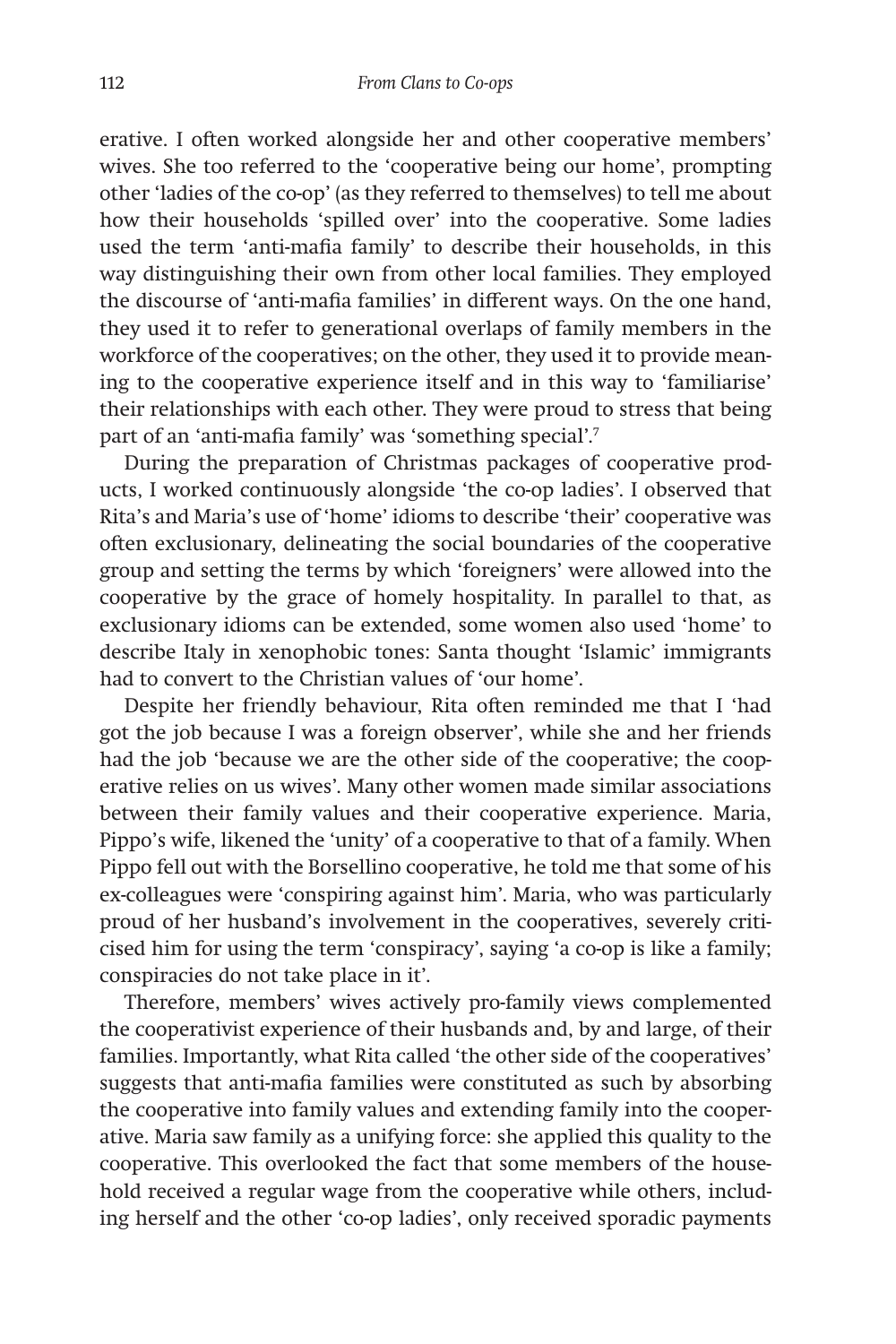erative. I often worked alongside her and other cooperative members' wives. She too referred to the 'cooperative being our home', prompting other 'ladies of the co-op' (as they referred to themselves) to tell me about how their households 'spilled over' into the cooperative. Some ladies used the term 'anti-mafia family' to describe their households, in this way distinguishing their own from other local families. They employed the discourse of 'anti-mafia families' in different ways. On the one hand, they used it to refer to generational overlaps of family members in the workforce of the cooperatives; on the other, they used it to provide meaning to the cooperative experience itself and in this way to 'familiarise' their relationships with each other. They were proud to stress that being part of an 'anti-mafia family' was 'something special'.7

During the preparation of Christmas packages of cooperative products, I worked continuously alongside 'the co-op ladies'. I observed that Rita's and Maria's use of 'home' idioms to describe 'their' cooperative was often exclusionary, delineating the social boundaries of the cooperative group and setting the terms by which 'foreigners' were allowed into the cooperative by the grace of homely hospitality. In parallel to that, as exclusionary idioms can be extended, some women also used 'home' to describe Italy in xenophobic tones: Santa thought 'Islamic' immigrants had to convert to the Christian values of 'our home'.

Despite her friendly behaviour, Rita often reminded me that I 'had got the job because I was a foreign observer', while she and her friends had the job 'because we are the other side of the cooperative; the cooperative relies on us wives'. Many other women made similar associations between their family values and their cooperative experience. Maria, Pippo's wife, likened the 'unity' of a cooperative to that of a family. When Pippo fell out with the Borsellino cooperative, he told me that some of his ex-colleagues were 'conspiring against him'. Maria, who was particularly proud of her husband's involvement in the cooperatives, severely criticised him for using the term 'conspiracy', saying 'a co-op is like a family; conspiracies do not take place in it'.

Therefore, members' wives actively pro-family views complemented the cooperativist experience of their husbands and, by and large, of their families. Importantly, what Rita called 'the other side of the cooperatives' suggests that anti-mafia families were constituted as such by absorbing the cooperative into family values and extending family into the cooperative. Maria saw family as a unifying force: she applied this quality to the cooperative. This overlooked the fact that some members of the household received a regular wage from the cooperative while others, including herself and the other 'co-op ladies', only received sporadic payments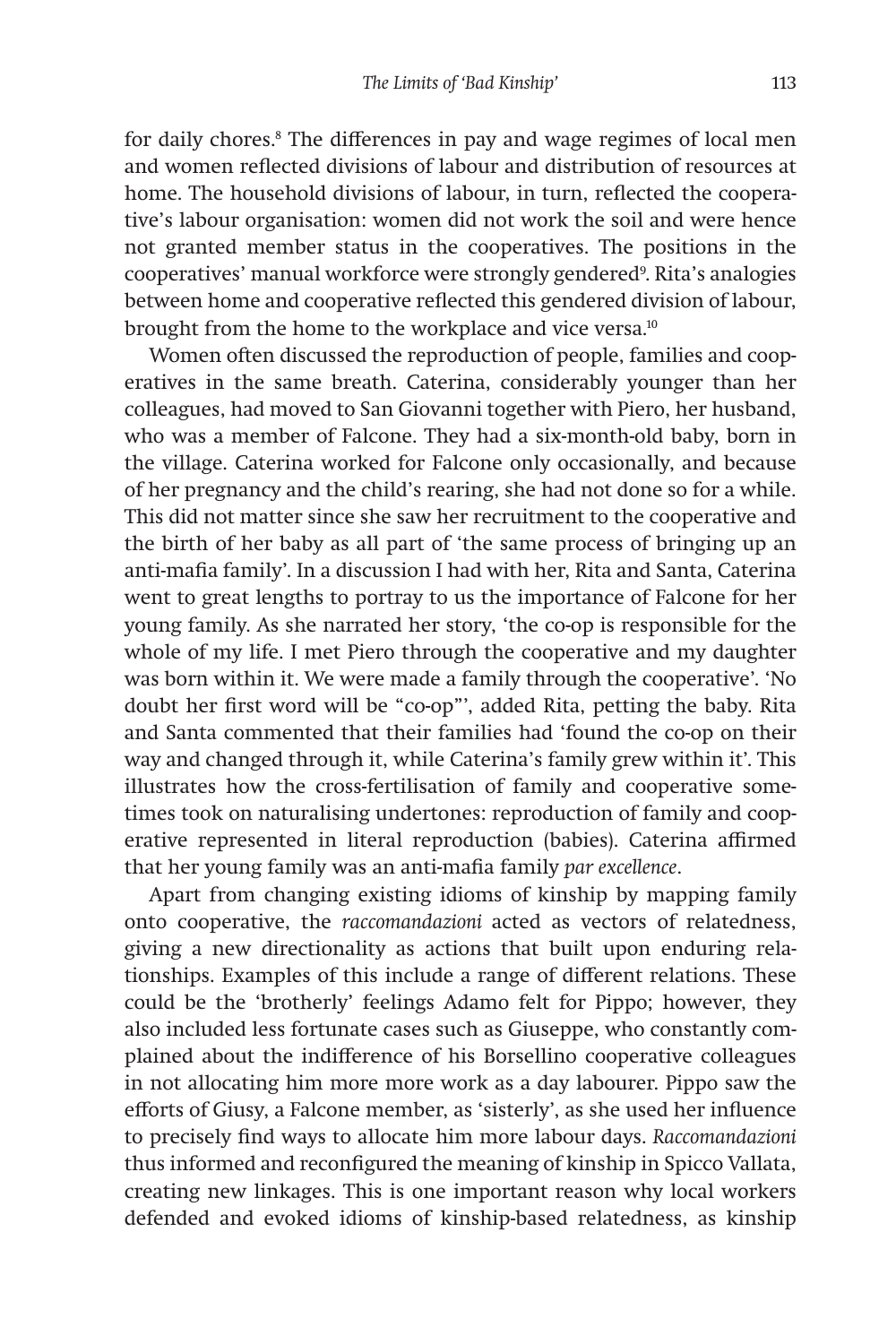for daily chores.8 The differences in pay and wage regimes of local men and women reflected divisions of labour and distribution of resources at home. The household divisions of labour, in turn, reflected the cooperative's labour organisation: women did not work the soil and were hence not granted member status in the cooperatives. The positions in the cooperatives' manual workforce were strongly gendered<sup>9</sup>. Rita's analogies between home and cooperative reflected this gendered division of labour, brought from the home to the workplace and vice versa.<sup>10</sup>

Women often discussed the reproduction of people, families and cooperatives in the same breath. Caterina, considerably younger than her colleagues, had moved to San Giovanni together with Piero, her husband, who was a member of Falcone. They had a six-month-old baby, born in the village. Caterina worked for Falcone only occasionally, and because of her pregnancy and the child's rearing, she had not done so for a while. This did not matter since she saw her recruitment to the cooperative and the birth of her baby as all part of 'the same process of bringing up an anti-mafia family'. In a discussion I had with her, Rita and Santa, Caterina went to great lengths to portray to us the importance of Falcone for her young family. As she narrated her story, 'the co-op is responsible for the whole of my life. I met Piero through the cooperative and my daughter was born within it. We were made a family through the cooperative'. 'No doubt her first word will be "co-op"', added Rita, petting the baby. Rita and Santa commented that their families had 'found the co-op on their way and changed through it, while Caterina's family grew within it'. This illustrates how the cross-fertilisation of family and cooperative sometimes took on naturalising undertones: reproduction of family and cooperative represented in literal reproduction (babies). Caterina affirmed that her young family was an anti-mafia family *par excellence*.

Apart from changing existing idioms of kinship by mapping family onto cooperative, the *raccomandazioni* acted as vectors of relatedness, giving a new directionality as actions that built upon enduring relationships. Examples of this include a range of different relations. These could be the 'brotherly' feelings Adamo felt for Pippo; however, they also included less fortunate cases such as Giuseppe, who constantly complained about the indifference of his Borsellino cooperative colleagues in not allocating him more more work as a day labourer. Pippo saw the efforts of Giusy, a Falcone member, as 'sisterly', as she used her influence to precisely find ways to allocate him more labour days. *Raccomandazioni*  thus informed and reconfigured the meaning of kinship in Spicco Vallata, creating new linkages. This is one important reason why local workers defended and evoked idioms of kinship-based relatedness, as kinship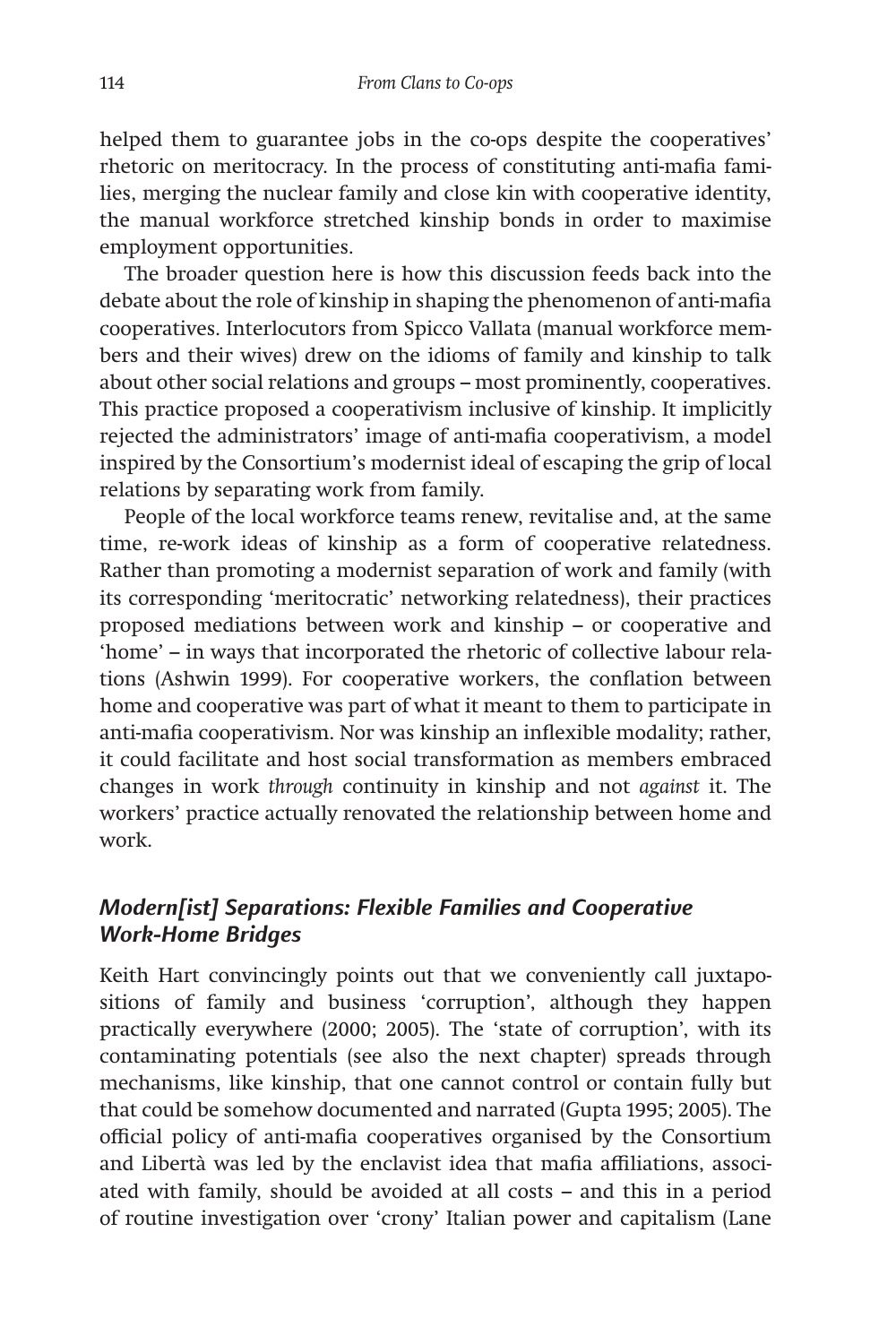helped them to guarantee jobs in the co-ops despite the cooperatives' rhetoric on meritocracy. In the process of constituting anti-mafia families, merging the nuclear family and close kin with cooperative identity, the manual workforce stretched kinship bonds in order to maximise employment opportunities.

The broader question here is how this discussion feeds back into the debate about the role of kinship in shaping the phenomenon of anti-mafia cooperatives. Interlocutors from Spicco Vallata (manual workforce members and their wives) drew on the idioms of family and kinship to talk about other social relations and groups – most prominently, cooperatives. This practice proposed a cooperativism inclusive of kinship. It implicitly rejected the administrators' image of anti-mafia cooperativism, a model inspired by the Consortium's modernist ideal of escaping the grip of local relations by separating work from family.

People of the local workforce teams renew, revitalise and, at the same time, re-work ideas of kinship as a form of cooperative relatedness. Rather than promoting a modernist separation of work and family (with its corresponding 'meritocratic' networking relatedness), their practices proposed mediations between work and kinship – or cooperative and 'home' – in ways that incorporated the rhetoric of collective labour relations (Ashwin 1999). For cooperative workers, the conflation between home and cooperative was part of what it meant to them to participate in anti-mafia cooperativism. Nor was kinship an inflexible modality; rather, it could facilitate and host social transformation as members embraced changes in work *through* continuity in kinship and not *against* it. The workers' practice actually renovated the relationship between home and work.

## *Modern[ist] Separations: Flexible Families and Cooperative Work-Home Bridges*

Keith Hart convincingly points out that we conveniently call juxtapositions of family and business 'corruption', although they happen practically everywhere (2000; 2005). The 'state of corruption', with its contaminating potentials (see also the next chapter) spreads through mechanisms, like kinship, that one cannot control or contain fully but that could be somehow documented and narrated (Gupta 1995; 2005). The official policy of anti-mafia cooperatives organised by the Consortium and Libertà was led by the enclavist idea that mafia affiliations, associated with family, should be avoided at all costs – and this in a period of routine investigation over 'crony' Italian power and capitalism (Lane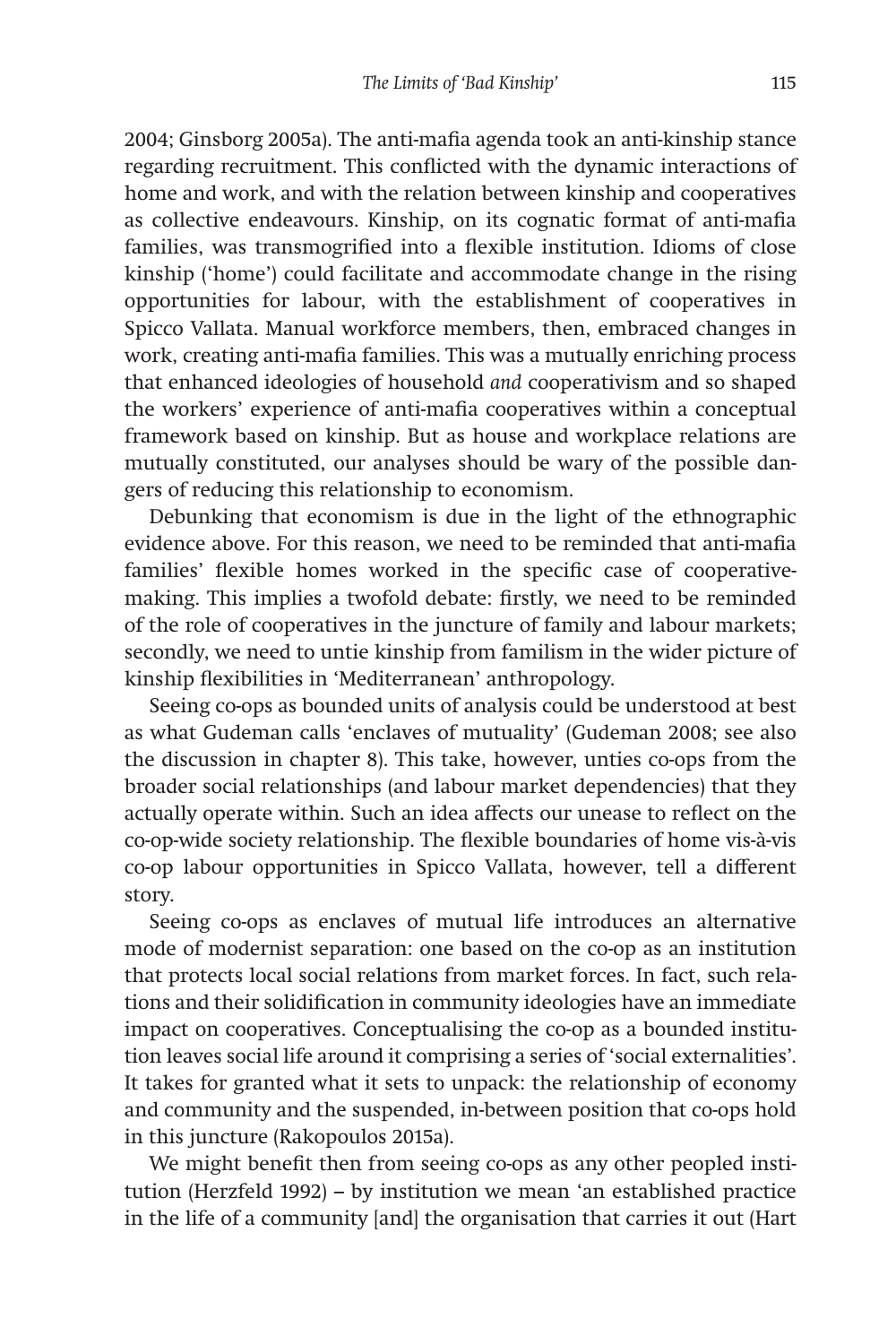2004; Ginsborg 2005a). The anti-mafia agenda took an anti-kinship stance regarding recruitment. This conflicted with the dynamic interactions of home and work, and with the relation between kinship and cooperatives as collective endeavours. Kinship, on its cognatic format of anti-mafia families, was transmogrified into a flexible institution. Idioms of close kinship ('home') could facilitate and accommodate change in the rising opportunities for labour, with the establishment of cooperatives in Spicco Vallata. Manual workforce members, then, embraced changes in work, creating anti-mafia families. This was a mutually enriching process that enhanced ideologies of household *and* cooperativism and so shaped the workers' experience of anti-mafia cooperatives within a conceptual framework based on kinship. But as house and workplace relations are mutually constituted, our analyses should be wary of the possible dangers of reducing this relationship to economism.

Debunking that economism is due in the light of the ethnographic evidence above. For this reason, we need to be reminded that anti-mafia families' flexible homes worked in the specific case of cooperativemaking. This implies a twofold debate: firstly, we need to be reminded of the role of cooperatives in the juncture of family and labour markets; secondly, we need to untie kinship from familism in the wider picture of kinship flexibilities in 'Mediterranean' anthropology.

Seeing co-ops as bounded units of analysis could be understood at best as what Gudeman calls 'enclaves of mutuality' (Gudeman 2008; see also the discussion in chapter 8). This take, however, unties co-ops from the broader social relationships (and labour market dependencies) that they actually operate within. Such an idea affects our unease to reflect on the co-op-wide society relationship. The flexible boundaries of home vis-à-vis co-op labour opportunities in Spicco Vallata, however, tell a different story.

Seeing co-ops as enclaves of mutual life introduces an alternative mode of modernist separation: one based on the co-op as an institution that protects local social relations from market forces. In fact, such relations and their solidification in community ideologies have an immediate impact on cooperatives. Conceptualising the co-op as a bounded institution leaves social life around it comprising a series of 'social externalities'. It takes for granted what it sets to unpack: the relationship of economy and community and the suspended, in-between position that co-ops hold in this juncture (Rakopoulos 2015a).

We might benefit then from seeing co-ops as any other peopled institution (Herzfeld 1992) – by institution we mean 'an established practice in the life of a community [and] the organisation that carries it out (Hart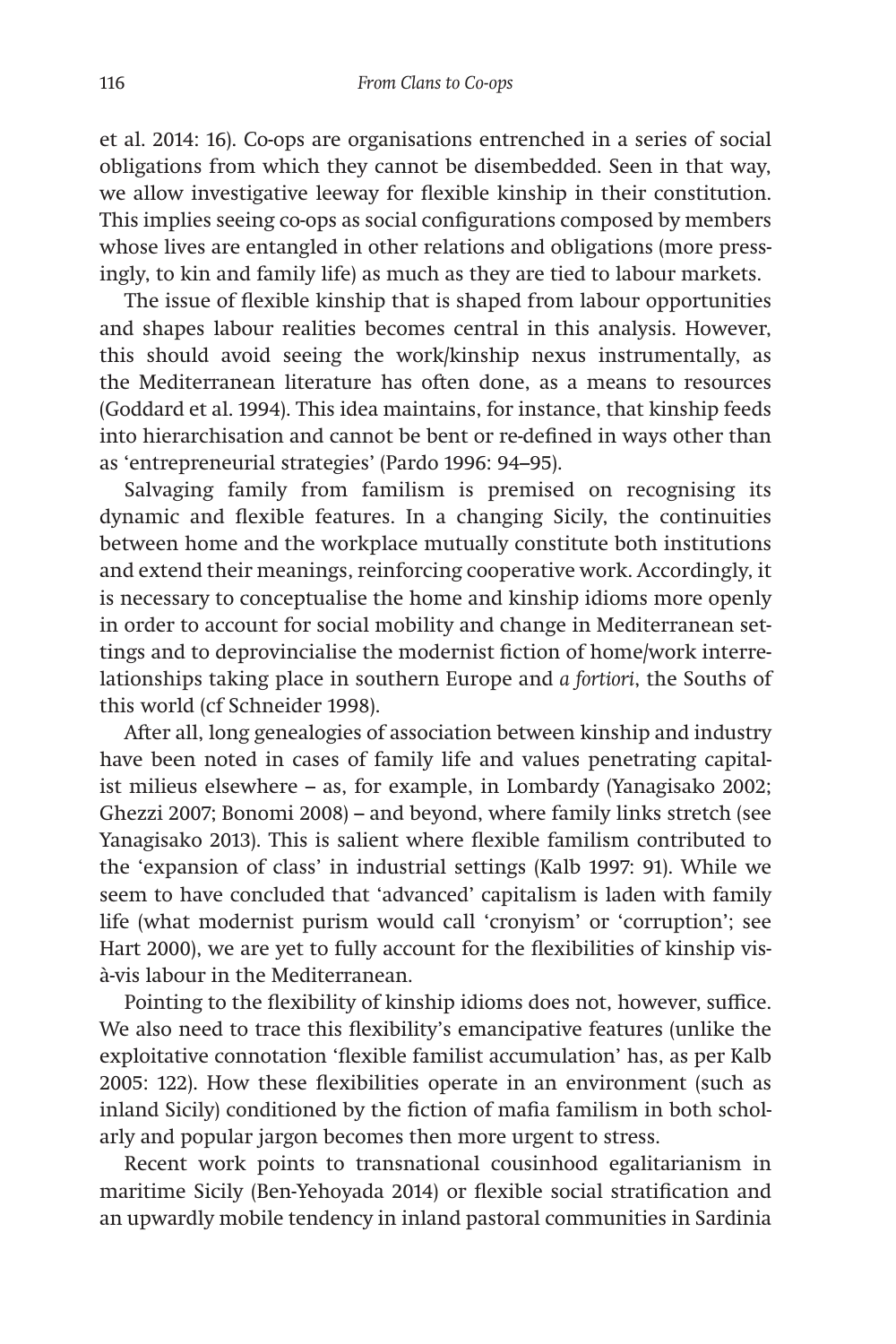et al. 2014: 16). Co-ops are organisations entrenched in a series of social obligations from which they cannot be disembedded. Seen in that way, we allow investigative leeway for flexible kinship in their constitution. This implies seeing co-ops as social configurations composed by members whose lives are entangled in other relations and obligations (more pressingly, to kin and family life) as much as they are tied to labour markets.

The issue of flexible kinship that is shaped from labour opportunities and shapes labour realities becomes central in this analysis. However, this should avoid seeing the work/kinship nexus instrumentally, as the Mediterranean literature has often done, as a means to resources (Goddard et al. 1994). This idea maintains, for instance, that kinship feeds into hierarchisation and cannot be bent or re-defined in ways other than as 'entrepreneurial strategies' (Pardo 1996: 94–95).

Salvaging family from familism is premised on recognising its dynamic and flexible features. In a changing Sicily, the continuities between home and the workplace mutually constitute both institutions and extend their meanings, reinforcing cooperative work. Accordingly, it is necessary to conceptualise the home and kinship idioms more openly in order to account for social mobility and change in Mediterranean settings and to deprovincialise the modernist fiction of home/work interrelationships taking place in southern Europe and *a fortiori*, the Souths of this world (cf Schneider 1998).

After all, long genealogies of association between kinship and industry have been noted in cases of family life and values penetrating capitalist milieus elsewhere – as, for example, in Lombardy (Yanagisako 2002; Ghezzi 2007; Bonomi 2008) – and beyond, where family links stretch (see Yanagisako 2013). This is salient where flexible familism contributed to the 'expansion of class' in industrial settings (Kalb 1997: 91). While we seem to have concluded that 'advanced' capitalism is laden with family life (what modernist purism would call 'cronyism' or 'corruption'; see Hart 2000), we are yet to fully account for the flexibilities of kinship visà-vis labour in the Mediterranean.

Pointing to the flexibility of kinship idioms does not, however, suffice. We also need to trace this flexibility's emancipative features (unlike the exploitative connotation 'flexible familist accumulation' has, as per Kalb 2005: 122). How these flexibilities operate in an environment (such as inland Sicily) conditioned by the fiction of mafia familism in both scholarly and popular jargon becomes then more urgent to stress.

Recent work points to transnational cousinhood egalitarianism in maritime Sicily (Ben-Yehoyada 2014) or flexible social stratification and an upwardly mobile tendency in inland pastoral communities in Sardinia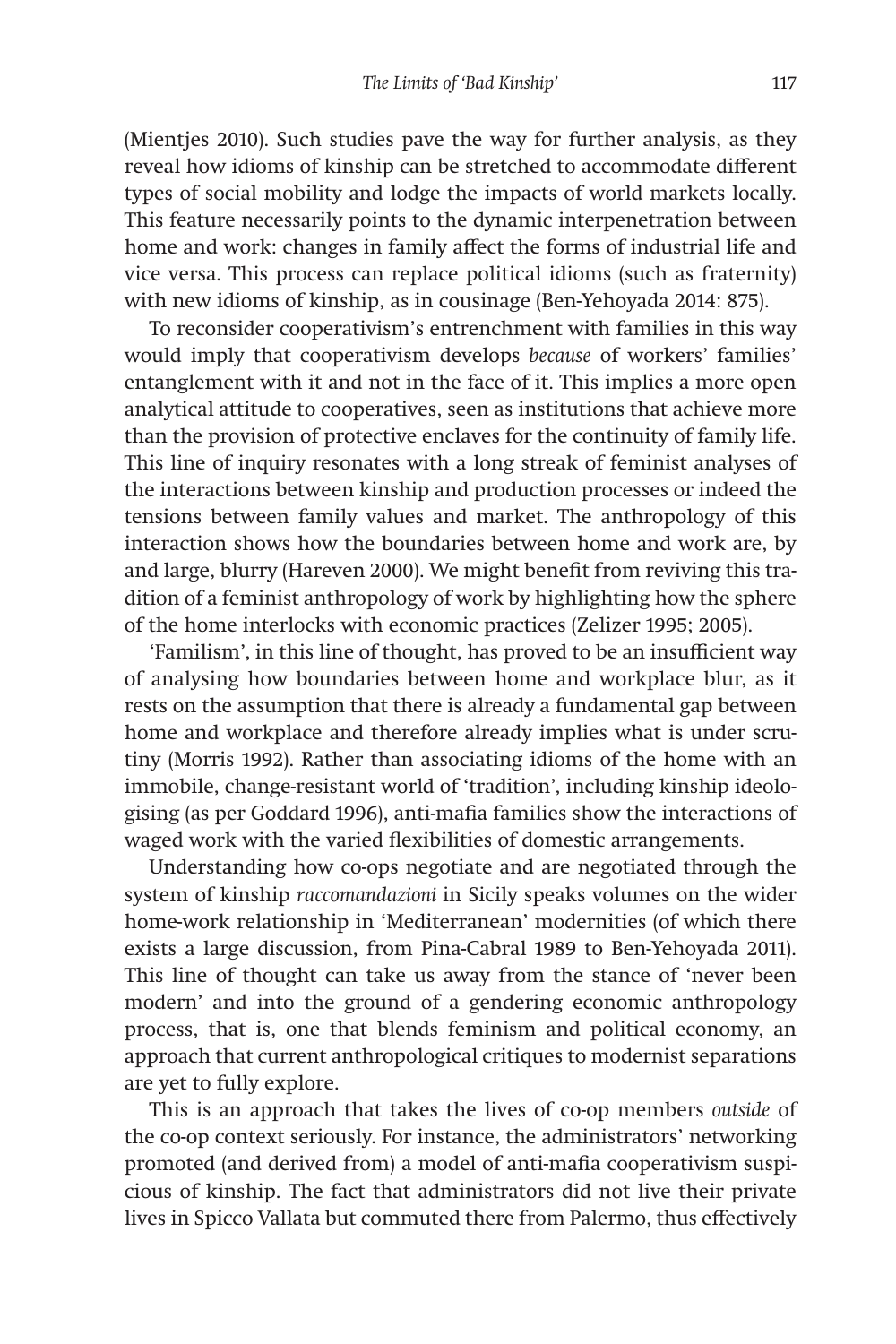(Mientjes 2010). Such studies pave the way for further analysis, as they reveal how idioms of kinship can be stretched to accommodate different types of social mobility and lodge the impacts of world markets locally. This feature necessarily points to the dynamic interpenetration between home and work: changes in family affect the forms of industrial life and vice versa. This process can replace political idioms (such as fraternity) with new idioms of kinship, as in cousinage (Ben-Yehoyada 2014: 875).

To reconsider cooperativism's entrenchment with families in this way would imply that cooperativism develops *because* of workers' families' entanglement with it and not in the face of it. This implies a more open analytical attitude to cooperatives, seen as institutions that achieve more than the provision of protective enclaves for the continuity of family life. This line of inquiry resonates with a long streak of feminist analyses of the interactions between kinship and production processes or indeed the tensions between family values and market. The anthropology of this interaction shows how the boundaries between home and work are, by and large, blurry (Hareven 2000). We might benefit from reviving this tradition of a feminist anthropology of work by highlighting how the sphere of the home interlocks with economic practices (Zelizer 1995; 2005).

'Familism', in this line of thought, has proved to be an insufficient way of analysing how boundaries between home and workplace blur, as it rests on the assumption that there is already a fundamental gap between home and workplace and therefore already implies what is under scrutiny (Morris 1992). Rather than associating idioms of the home with an immobile, change-resistant world of 'tradition', including kinship ideologising (as per Goddard 1996), anti-mafia families show the interactions of waged work with the varied flexibilities of domestic arrangements.

Understanding how co-ops negotiate and are negotiated through the system of kinship *raccomandazioni* in Sicily speaks volumes on the wider home-work relationship in 'Mediterranean' modernities (of which there exists a large discussion, from Pina-Cabral 1989 to Ben-Yehoyada 2011). This line of thought can take us away from the stance of 'never been modern' and into the ground of a gendering economic anthropology process, that is, one that blends feminism and political economy, an approach that current anthropological critiques to modernist separations are yet to fully explore.

This is an approach that takes the lives of co-op members *outside* of the co-op context seriously. For instance, the administrators' networking promoted (and derived from) a model of anti-mafia cooperativism suspicious of kinship. The fact that administrators did not live their private lives in Spicco Vallata but commuted there from Palermo, thus effectively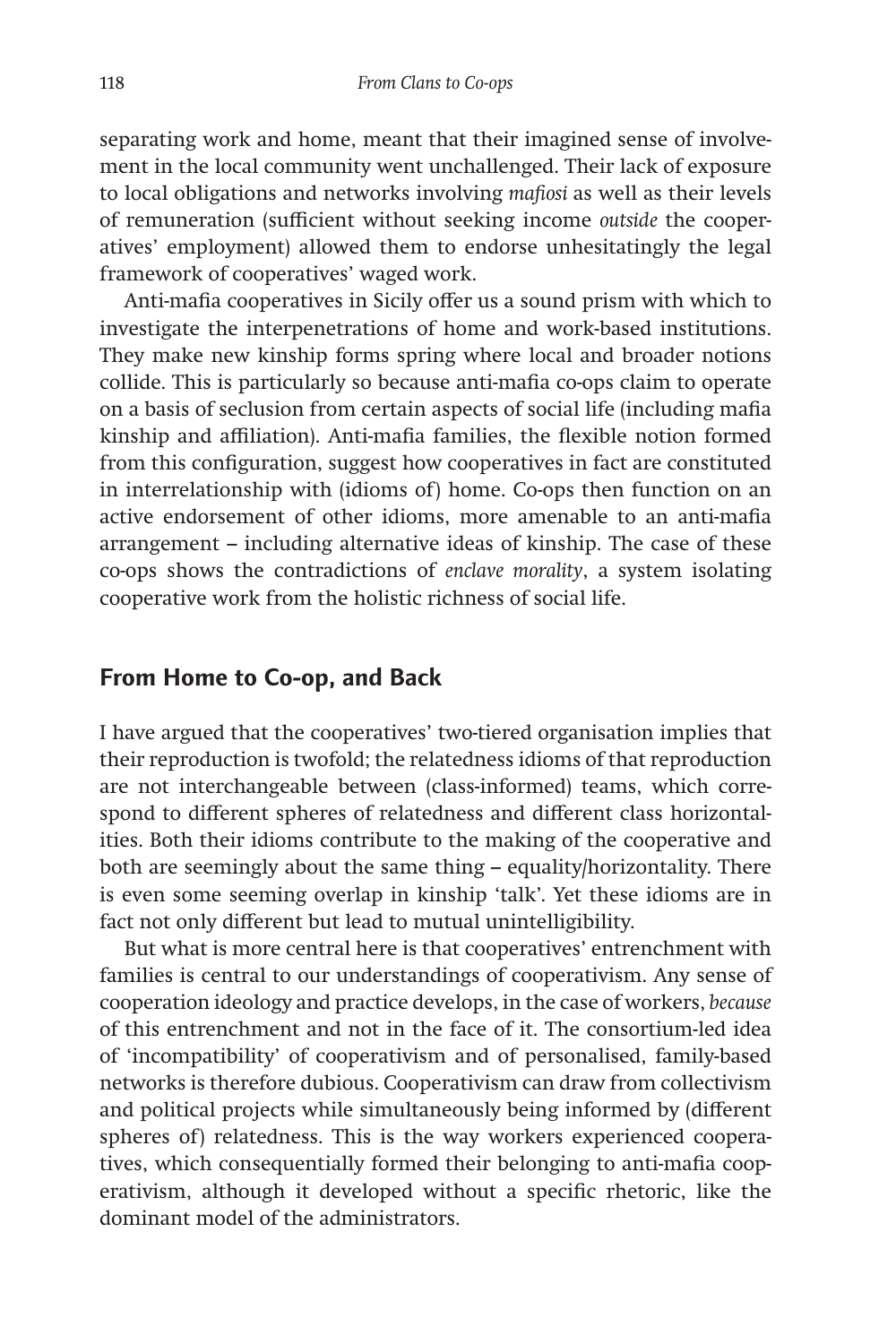separating work and home, meant that their imagined sense of involvement in the local community went unchallenged. Their lack of exposure to local obligations and networks involving *mafiosi* as well as their levels of remuneration (sufficient without seeking income *outside* the cooperatives' employment) allowed them to endorse unhesitatingly the legal framework of cooperatives' waged work.

Anti-mafia cooperatives in Sicily offer us a sound prism with which to investigate the interpenetrations of home and work-based institutions. They make new kinship forms spring where local and broader notions collide. This is particularly so because anti-mafia co-ops claim to operate on a basis of seclusion from certain aspects of social life (including mafia kinship and affiliation). Anti-mafia families, the flexible notion formed from this configuration, suggest how cooperatives in fact are constituted in interrelationship with (idioms of) home. Co-ops then function on an active endorsement of other idioms, more amenable to an anti-mafia arrangement – including alternative ideas of kinship. The case of these co-ops shows the contradictions of *enclave morality*, a system isolating cooperative work from the holistic richness of social life.

# **From Home to Co-op, and Back**

I have argued that the cooperatives' two-tiered organisation implies that their reproduction is twofold; the relatedness idioms of that reproduction are not interchangeable between (class-informed) teams, which correspond to different spheres of relatedness and different class horizontalities. Both their idioms contribute to the making of the cooperative and both are seemingly about the same thing – equality/horizontality. There is even some seeming overlap in kinship 'talk'. Yet these idioms are in fact not only different but lead to mutual unintelligibility.

But what is more central here is that cooperatives' entrenchment with families is central to our understandings of cooperativism. Any sense of cooperation ideology and practice develops, in the case of workers, *because* of this entrenchment and not in the face of it. The consortium-led idea of 'incompatibility' of cooperativism and of personalised, family-based networks is therefore dubious. Cooperativism can draw from collectivism and political projects while simultaneously being informed by (different spheres of) relatedness. This is the way workers experienced cooperatives, which consequentially formed their belonging to anti-mafia cooperativism, although it developed without a specific rhetoric, like the dominant model of the administrators.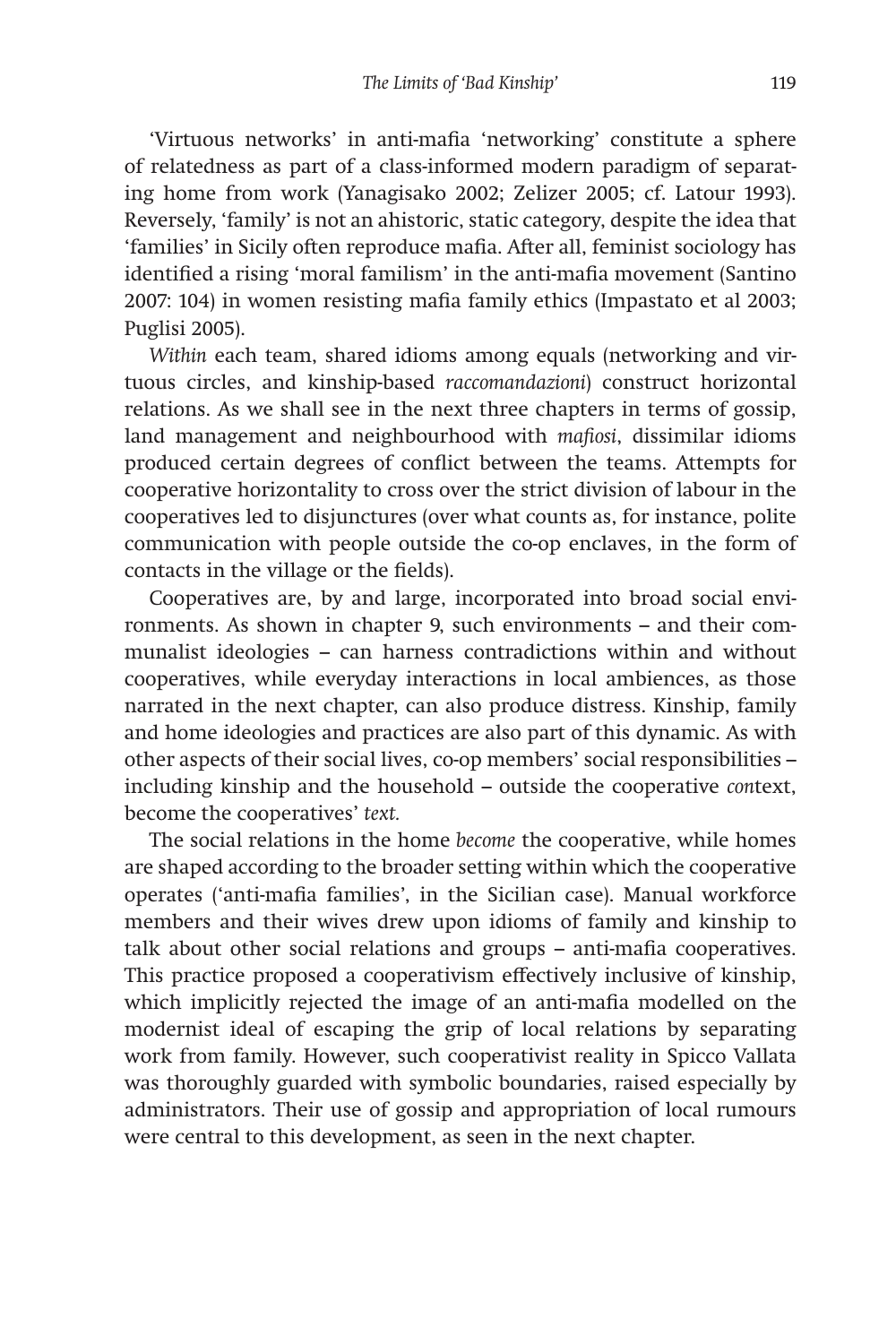'Virtuous networks' in anti-mafia 'networking' constitute a sphere of relatedness as part of a class-informed modern paradigm of separating home from work (Yanagisako 2002; Zelizer 2005; cf. Latour 1993). Reversely, 'family' is not an ahistoric, static category, despite the idea that 'families' in Sicily often reproduce mafia. After all, feminist sociology has identified a rising 'moral familism' in the anti-mafia movement (Santino 2007: 104) in women resisting mafia family ethics (Impastato et al 2003; Puglisi 2005).

*Within* each team, shared idioms among equals (networking and virtuous circles, and kinship-based *raccomandazioni*) construct horizontal relations. As we shall see in the next three chapters in terms of gossip, land management and neighbourhood with *mafiosi*, dissimilar idioms produced certain degrees of conflict between the teams. Attempts for cooperative horizontality to cross over the strict division of labour in the cooperatives led to disjunctures (over what counts as, for instance, polite communication with people outside the co-op enclaves, in the form of contacts in the village or the fields).

Cooperatives are, by and large, incorporated into broad social environments. As shown in chapter 9, such environments – and their communalist ideologies – can harness contradictions within and without cooperatives, while everyday interactions in local ambiences, as those narrated in the next chapter, can also produce distress. Kinship, family and home ideologies and practices are also part of this dynamic. As with other aspects of their social lives, co-op members' social responsibilities – including kinship and the household – outside the cooperative *con*text, become the cooperatives' *text.*

The social relations in the home *become* the cooperative, while homes are shaped according to the broader setting within which the cooperative operates ('anti-mafia families', in the Sicilian case). Manual workforce members and their wives drew upon idioms of family and kinship to talk about other social relations and groups – anti-mafia cooperatives. This practice proposed a cooperativism effectively inclusive of kinship, which implicitly rejected the image of an anti-mafia modelled on the modernist ideal of escaping the grip of local relations by separating work from family. However, such cooperativist reality in Spicco Vallata was thoroughly guarded with symbolic boundaries, raised especially by administrators. Their use of gossip and appropriation of local rumours were central to this development, as seen in the next chapter.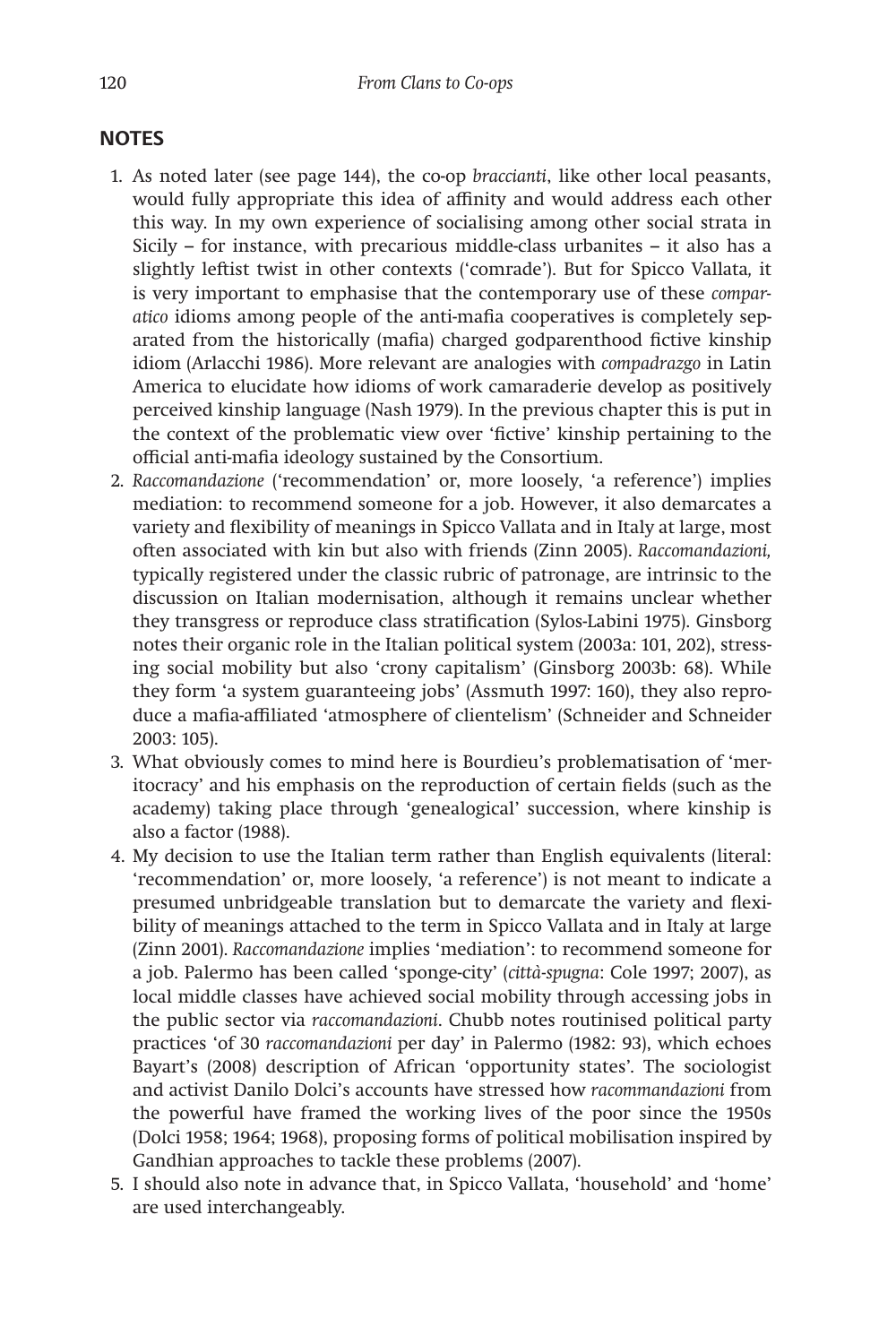#### **NOTES**

- 1. As noted later (see page 144), the co-op *braccianti*, like other local peasants, would fully appropriate this idea of affinity and would address each other this way. In my own experience of socialising among other social strata in Sicily – for instance, with precarious middle-class urbanites – it also has a slightly leftist twist in other contexts ('comrade'). But for Spicco Vallata*,* it is very important to emphasise that the contemporary use of these *comparatico* idioms among people of the anti-mafia cooperatives is completely separated from the historically (mafia) charged godparenthood fictive kinship idiom (Arlacchi 1986). More relevant are analogies with *compadrazgo* in Latin America to elucidate how idioms of work camaraderie develop as positively perceived kinship language (Nash 1979). In the previous chapter this is put in the context of the problematic view over 'fictive' kinship pertaining to the official anti-mafia ideology sustained by the Consortium.
- 2. *Raccomandazione* ('recommendation' or, more loosely, 'a reference') implies mediation: to recommend someone for a job. However, it also demarcates a variety and flexibility of meanings in Spicco Vallata and in Italy at large, most often associated with kin but also with friends (Zinn 2005). *Raccomandazioni,*  typically registered under the classic rubric of patronage, are intrinsic to the discussion on Italian modernisation, although it remains unclear whether they transgress or reproduce class stratification (Sylos-Labini 1975). Ginsborg notes their organic role in the Italian political system (2003a: 101, 202), stressing social mobility but also 'crony capitalism' (Ginsborg 2003b: 68). While they form 'a system guaranteeing jobs' (Assmuth 1997: 160), they also reproduce a mafia-affiliated 'atmosphere of clientelism' (Schneider and Schneider 2003: 105).
- 3. What obviously comes to mind here is Bourdieu's problematisation of 'meritocracy' and his emphasis on the reproduction of certain fields (such as the academy) taking place through 'genealogical' succession, where kinship is also a factor (1988).
- 4. My decision to use the Italian term rather than English equivalents (literal: 'recommendation' or, more loosely, 'a reference') is not meant to indicate a presumed unbridgeable translation but to demarcate the variety and flexibility of meanings attached to the term in Spicco Vallata and in Italy at large (Zinn 2001). *Raccomandazione* implies 'mediation': to recommend someone for a job. Palermo has been called 'sponge-city' (*città-spugna*: Cole 1997; 2007), as local middle classes have achieved social mobility through accessing jobs in the public sector via *raccomandazioni*. Chubb notes routinised political party practices 'of 30 *raccomandazioni* per day' in Palermo (1982: 93), which echoes Bayart's (2008) description of African 'opportunity states'. The sociologist and activist Danilo Dolci's accounts have stressed how *racommandazioni* from the powerful have framed the working lives of the poor since the 1950s (Dolci 1958; 1964; 1968), proposing forms of political mobilisation inspired by Gandhian approaches to tackle these problems (2007).
- 5. I should also note in advance that, in Spicco Vallata, 'household' and 'home' are used interchangeably.